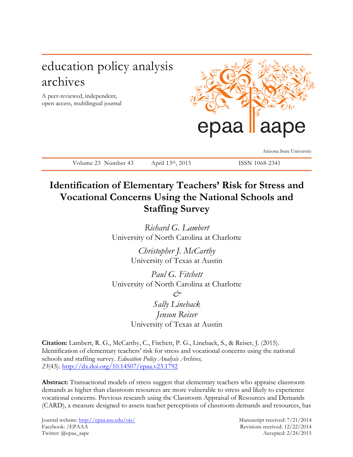# education policy analysis archives

A peer-reviewed, independent, open access, multilingual journal



Arizona State University

Volume 23 Number 43 April 13th, 2015 ISSN 1068-2341

# **Identification of Elementary Teachers' Risk for Stress and Vocational Concerns Using the National Schools and**

**Staffing Survey**

*Richard G. Lambert* University of North Carolina at Charlotte

> *Christopher J. McCarthy* University of Texas at Austin

*Paul G. Fitchett* University of North Carolina at Charlotte *& Sally Lineback Jenson Reiser* University of Texas at Austin

**Citation:** Lambert, R. G., McCarthy, C., Fitchett, P. G., Lineback, S., & Reiser, J. (2015). Identification of elementary teachers' risk for stress and vocational concerns using the national schools and staffing survey. *Education Policy Analysis Archives, 23*(43). http://dx.doi.org/10.14507/epaa.v23.1792

**Abstract:** Transactional models of stress suggest that elementary teachers who appraise classroom demands as higher than classroom resources are more vulnerable to stress and likely to experience vocational concerns. Previous research using the Classroom Appraisal of Resources and Demands (CARD), a measure designed to assess teacher perceptions of classroom demands and resources, has

Journal website: http://epaa.asu.edu/ojs/ Manuscript received: 7/21/2014 Facebook: /EPAAA Revisions received: 12/22/2014 Twitter: @epaa\_aape Accepted: 2/24/2015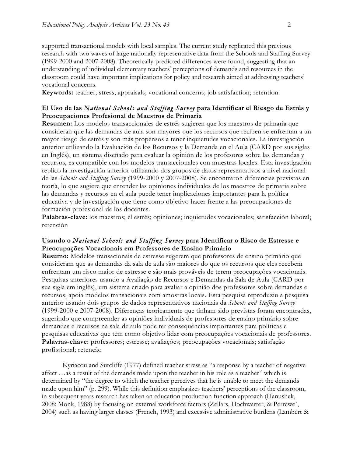supported transactional models with local samples. The current study replicated this previous research with two waves of large nationally representative data from the Schools and Staffing Survey (1999-2000 and 2007-2008). Theoretically-predicted differences were found, suggesting that an understanding of individual elementary teachers' perceptions of demands and resources in the classroom could have important implications for policy and research aimed at addressing teachers' vocational concerns.

**Keywords:** teacher; stress; appraisals; vocational concerns; job satisfaction; retention

### **El Uso de las** *National Schools and Staffing Survey* **para Identificar el Riesgo de Estrés y Preocupaciones Profesional de Maestros de Primaria**

**Resumen:** Los modelos transaccionales de estrés sugieren que los maestros de primaria que consideran que las demandas de aula son mayores que los recursos que reciben se enfrentan a un mayor riesgo de estrés y son más propensos a tener inquietudes vocacionales. La investigación anterior utilizando la Evaluación de los Recursos y la Demanda en el Aula (CARD por sus siglas en Inglés), un sistema diseñado para evaluar la opinión de los profesores sobre las demandas y recursos, es compatible con los modelos transaccionales con muestras locales. Esta investigación replico la investigación anterior utilizando dos grupos de datos representativos a nivel nacional de las *Schools and Staffing Survey* (1999-2000 y 2007-2008). Se encontraron diferencias previstas en teoría, lo que sugiere que entender las opiniones individuales de los maestros de primaria sobre las demandas y recursos en el aula puede tener implicaciones importantes para la política educativa y de investigación que tiene como objetivo hacer frente a las preocupaciones de formación profesional de los docentes.

**Palabras-clave:** los maestros; el estrés; opiniones; inquietudes vocacionales; satisfacción laboral; retención

### **Usando o** *National Schools and Staffing Survey* **para Identificar o Risco de Estresse e Preocupações Vocacionais em Professores de Ensino Primário**

**Resumo:** Modelos transacionais de estresse sugerem que professores de ensino primário que consideram que as demandas da sala de aula são maiores do que os recursos que eles recebem enfrentam um risco maior de estresse e são mais prováveis de terem preocupações vocacionais. Pesquisas anteriores usando a Avaliação de Recursos e Demandas da Sala de Aula (CARD por sua sigla em inglês), um sistema criado para avaliar a opinião dos professores sobre demandas e recursos, apoia modelos transacionais com amostras locais. Esta pesquisa reproduziu a pesquisa anterior usando dois grupos de dados representativos nacionais da *Schools and Staffing Survey* (1999-2000 e 2007-2008). Diferenças teoricamente que tinham sido previstas foram encontradas, sugerindo que compreender as opiniões individuais de professores de ensino primário sobre demandas e recursos na sala de aula pode ter consequências importantes para políticas e pesquisas educativas que tem como objetivo lidar com preocupações vocacionais de professores. **Palavras-chave:** professores; estresse; avaliações; preocupações vocacionais; satisfação profissional; retenção

Kyriacou and Sutcliffe (1977) defined teacher stress as "a response by a teacher of negative affect …as a result of the demands made upon the teacher in his role as a teacher" which is determined by "the degree to which the teacher perceives that he is unable to meet the demands made upon him" (p. 299). While this definition emphasizes teachers' perceptions of the classroom, in subsequent years research has taken an education production function approach (Hanushek, 2008; Monk, 1988) by focusing on external workforce factors (Zellars, Hochwarter, & Perrewe´, 2004) such as having larger classes (French, 1993) and excessive administrative burdens (Lambert &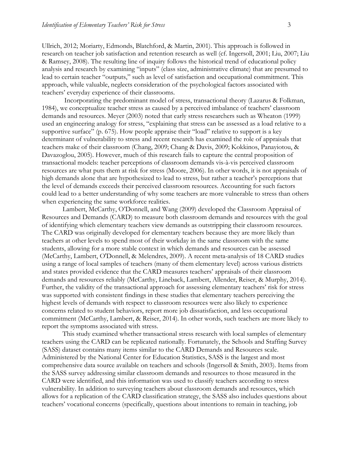Ullrich, 2012; Moriarty, Edmonds, Blatchford, & Martin, 2001). This approach is followed in research on teacher job satisfaction and retention research as well (cf. Ingersoll, 2001; Liu, 2007; Liu & Ramsey, 2008). The resulting line of inquiry follows the historical trend of educational policy analysis and research by examining "inputs" (class size, administrative climate) that are presumed to lead to certain teacher "outputs," such as level of satisfaction and occupational commitment. This approach, while valuable, neglects consideration of the psychological factors associated with teachers' everyday experience of their classrooms.

Incorporating the predominant model of stress, transactional theory (Lazarus & Folkman, 1984), we conceptualize teacher stress as caused by a perceived imbalance of teachers' classroom demands and resources. Meyer (2003) noted that early stress researchers such as Wheaton (1999) used an engineering analogy for stress, "explaining that stress can be assessed as a load relative to a supportive surface" (p. 675). How people appraise their "load" relative to support is a key determinant of vulnerability to stress and recent research has examined the role of appraisals that teachers make of their classroom (Chang, 2009; Chang & Davis, 2009; Kokkinos, Panayiotou, & Davazoglou, 2005). However, much of this research fails to capture the central proposition of transactional models: teacher perceptions of classroom demands vis-à-vis perceived classroom resources are what puts them at risk for stress (Moore, 2006). In other words, it is not appraisals of high demands alone that are hypothesized to lead to stress, but rather a teacher's perceptions that the level of demands exceeds their perceived classroom resources. Accounting for such factors could lead to a better understanding of why some teachers are more vulnerable to stress than others when experiencing the same workforce realities.

Lambert, McCarthy, O'Donnell, and Wang (2009) developed the Classroom Appraisal of Resources and Demands (CARD) to measure both classroom demands and resources with the goal of identifying which elementary teachers view demands as outstripping their classroom resources. The CARD was originally developed for elementary teachers because they are more likely than teachers at other levels to spend most of their workday in the same classroom with the same students, allowing for a more stable context in which demands and resources can be assessed (McCarthy, Lambert, O'Donnell, & Melendres, 2009). A recent meta-analysis of 18 CARD studies using a range of local samples of teachers (many of them elementary level) across various districts and states provided evidence that the CARD measures teachers' appraisals of their classroom demands and resources reliably (McCarthy, Lineback, Lambert, Allender, Reiser, & Murphy, 2014). Further, the validity of the transactional approach for assessing elementary teachers' risk for stress was supported with consistent findings in these studies that elementary teachers perceiving the highest levels of demands with respect to classroom resources were also likely to experience concerns related to student behaviors, report more job dissatisfaction, and less occupational commitment (McCarthy, Lambert, & Reiser, 2014). In other words, such teachers are more likely to report the symptoms associated with stress.

This study examined whether transactional stress research with local samples of elementary teachers using the CARD can be replicated nationally. Fortunately, the Schools and Staffing Survey (SASS) dataset contains many items similar to the CARD Demands and Resources scale. Administered by the National Center for Education Statistics, SASS is the largest and most comprehensive data source available on teachers and schools (Ingersoll & Smith, 2003). Items from the SASS survey addressing similar classroom demands and resources to those measured in the CARD were identified, and this information was used to classify teachers according to stress vulnerability. In addition to surveying teachers about classroom demands and resources, which allows for a replication of the CARD classification strategy, the SASS also includes questions about teachers' vocational concerns (specifically, questions about intentions to remain in teaching, job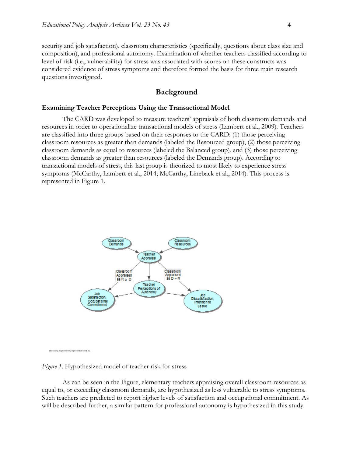security and job satisfaction), classroom characteristics (specifically, questions about class size and composition), and professional autonomy. Examination of whether teachers classified according to level of risk (i.e., vulnerability) for stress was associated with scores on these constructs was considered evidence of stress symptoms and therefore formed the basis for three main research questions investigated.

### **Background**

### **Examining Teacher Perceptions Using the Transactional Model**

The CARD was developed to measure teachers' appraisals of both classroom demands and resources in order to operationalize transactional models of stress (Lambert et al., 2009). Teachers are classified into three groups based on their responses to the CARD: (1) those perceiving classroom resources as greater than demands (labeled the Resourced group), (2) those perceiving classroom demands as equal to resources (labeled the Balanced group), and (3) those perceiving classroom demands as greater than resources (labeled the Demands group). According to transactional models of stress, this last group is theorized to most likely to experience stress symptoms (McCarthy, Lambert et al., 2014; McCarthy, Lineback et al., 2014). This process is represented in Figure 1.



aing kagimianG C bulangkarianG albumG, ka

*Figure 1*. Hypothesized model of teacher risk for stress

As can be seen in the Figure, elementary teachers appraising overall classroom resources as equal to, or exceeding classroom demands, are hypothesized as less vulnerable to stress symptoms. Such teachers are predicted to report higher levels of satisfaction and occupational commitment. As will be described further, a similar pattern for professional autonomy is hypothesized in this study.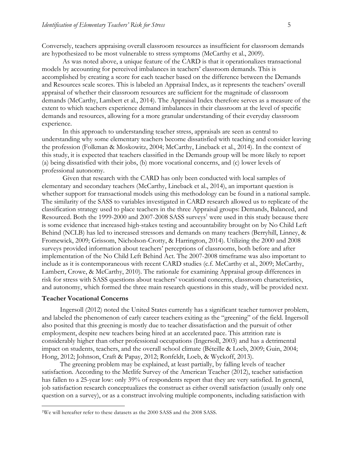Conversely, teachers appraising overall classroom resources as insufficient for classroom demands are hypothesized to be most vulnerable to stress symptoms (McCarthy et al., 2009).

As was noted above, a unique feature of the CARD is that it operationalizes transactional models by accounting for perceived imbalances in teachers' classroom demands. This is accomplished by creating a score for each teacher based on the difference between the Demands and Resources scale scores. This is labeled an Appraisal Index, as it represents the teachers' overall appraisal of whether their classroom resources are sufficient for the magnitude of classroom demands (McCarthy, Lambert et al., 2014). The Appraisal Index therefore serves as a measure of the extent to which teachers experience demand imbalances in their classroom at the level of specific demands and resources, allowing for a more granular understanding of their everyday classroom experience.

In this approach to understanding teacher stress, appraisals are seen as central to understanding why some elementary teachers become dissatisfied with teaching and consider leaving the profession (Folkman & Moskowitz, 2004; McCarthy, Lineback et al., 2014). In the context of this study, it is expected that teachers classified in the Demands group will be more likely to report (a) being dissatisfied with their jobs, (b) more vocational concerns, and (c) lower levels of professional autonomy.

Given that research with the CARD has only been conducted with local samples of elementary and secondary teachers (McCarthy, Lineback et al., 2014), an important question is whether support for transactional models using this methodology can be found in a national sample. The similarity of the SASS to variables investigated in CARD research allowed us to replicate of the classification strategy used to place teachers in the three Appraisal groups: Demands, Balanced, and Resourced. Both the 1999-2000 and 2007-2008 SASS surveys<sup>1</sup> were used in this study because there is some evidence that increased high-stakes testing and accountability brought on by No Child Left Behind (NCLB) has led to increased stressors and demands on many teachers (Berryhill, Linney, & Fromewick, 2009; Grissom, Nicholson-Crotty, & Harrington, 2014). Utilizing the 2000 and 2008 surveys provided information about teachers' perceptions of classrooms, both before and after implementation of the No Child Left Behind Act. The 2007-2008 timeframe was also important to include as it is contemporaneous with recent CARD studies (c.f. McCarthy et al., 2009; McCarthy, Lambert, Crowe, & McCarthy, 2010). The rationale for examining Appraisal group differences in risk for stress with SASS questions about teachers' vocational concerns, classroom characteristics, and autonomy, which formed the three main research questions in this study, will be provided next.

### **Teacher Vocational Concerns**

Ingersoll (2012) noted the United States currently has a significant teacher turnover problem, and labeled the phenomenon of early career teachers exiting as the "greening" of the field. Ingersoll also posited that this greening is mostly due to teacher dissatisfaction and the pursuit of other employment, despite new teachers being hired at an accelerated pace. This attrition rate is considerably higher than other professional occupations (Ingersoll, 2003) and has a detrimental impact on students, teachers, and the overall school climate (Béteille & Loeb, 2009; Guin, 2004; Hong, 2012; Johnson, Craft & Papay, 2012; Ronfeldt, Loeb, & Wyckoff, 2013).

The greening problem may be explained, at least partially, by falling levels of teacher satisfaction. According to the Metlife Survey of the American Teacher (2012), teacher satisfaction has fallen to a 25-year low: only 39% of respondents report that they are very satisfied. In general, job satisfaction research conceptualizes the construct as either overall satisfaction (usually only one question on a survey), or as a construct involving multiple components, including satisfaction with

<sup>&</sup>lt;sup>1</sup>We will hereafter refer to these datasets as the 2000 SASS and the 2008 SASS.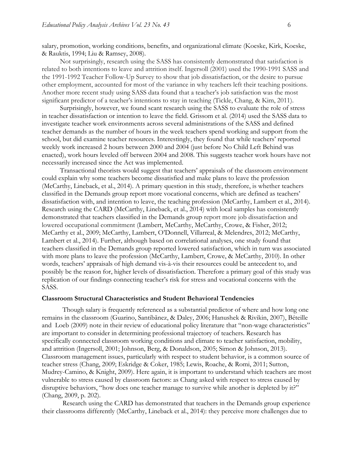salary, promotion, working conditions, benefits, and organizational climate (Koeske, Kirk, Koeske, & Rauktis, 1994; Liu & Ramsey, 2008).

Not surprisingly, research using the SASS has consistently demonstrated that satisfaction is related to both intentions to leave and attrition itself. Ingersoll (2001) used the 1990-1991 SASS and the 1991-1992 Teacher Follow-Up Survey to show that job dissatisfaction, or the desire to pursue other employment, accounted for most of the variance in why teachers left their teaching positions. Another more recent study using SASS data found that a teacher's job satisfaction was the most significant predictor of a teacher's intentions to stay in teaching (Tickle, Chang, & Kim, 2011).

Surprisingly, however, we found scant research using the SASS to evaluate the role of stress in teacher dissatisfaction or intention to leave the field. Grissom et al. (2014) used the SASS data to investigate teacher work environments across several administrations of the SASS and defined teacher demands as the number of hours in the week teachers spend working and support from the school, but did examine teacher resources. Interestingly, they found that while teachers' reported weekly work increased 2 hours between 2000 and 2004 (just before No Child Left Behind was enacted), work hours leveled off between 2004 and 2008. This suggests teacher work hours have not necessarily increased since the Act was implemented.

Transactional theorists would suggest that teachers' appraisals of the classroom environment could explain why some teachers become dissatisfied and make plans to leave the profession (McCarthy, Lineback, et al., 2014). A primary question in this study, therefore, is whether teachers classified in the Demands group report more vocational concerns, which are defined as teachers' dissatisfaction with, and intention to leave, the teaching profession (McCarthy, Lambert et al., 2014). Research using the CARD (McCarthy, Lineback, et al., 2014) with local samples has consistently demonstrated that teachers classified in the Demands group report more job dissatisfaction and lowered occupational commitment (Lambert, McCarthy, McCarthy, Crowe, & Fisher, 2012; McCarthy et al., 2009; McCarthy, Lambert, O'Donnell, Villarreal, & Melendres, 2012; McCarthy, Lambert et al., 2014). Further, although based on correlational analyses, one study found that teachers classified in the Demands group reported lowered satisfaction, which in turn was associated with more plans to leave the profession (McCarthy, Lambert, Crowe, & McCarthy, 2010). In other words, teachers' appraisals of high demand vis-à-vis their resources could be antecedent to, and possibly be the reason for, higher levels of dissatisfaction. Therefore a primary goal of this study was replication of our findings connecting teacher's risk for stress and vocational concerns with the SASS.

### **Classroom Structural Characteristics and Student Behavioral Tendencies**

Though salary is frequently referenced as a substantial predictor of where and how long one remains in the classroom (Guarino, Santibãnez, & Daley, 2006; Hanushek & Rivikin, 2007), Béteille and Loeb (2009) note in their review of educational policy literature that "non-wage characteristics" are important to consider in determining professional trajectory of teachers. Research has specifically connected classroom working conditions and climate to teacher satisfaction, mobility, and attrition (Ingersoll, 2001; Johnson, Berg, & Donaldson, 2005; Simon & Johnson, 2013). Classroom management issues, particularly with respect to student behavior, is a common source of teacher stress (Chang, 2009; Eskridge & Coker, 1985; Lewis, Roache, & Romi, 2011; Sutton, Mudrey-Camino, & Knight, 2009). Here again, it is important to understand which teachers are most vulnerable to stress caused by classroom factors: as Chang asked with respect to stress caused by disruptive behaviors, "how does one teacher manage to survive while another is depleted by it?" (Chang, 2009, p. 202).

Research using the CARD has demonstrated that teachers in the Demands group experience their classrooms differently (McCarthy, Lineback et al., 2014): they perceive more challenges due to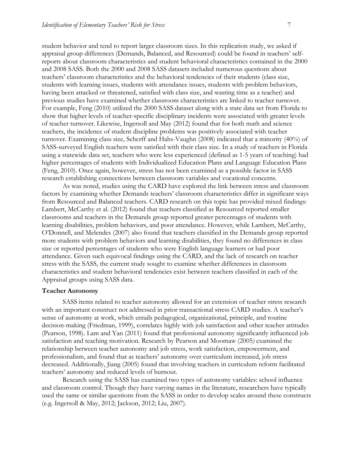student behavior and tend to report larger classroom sizes. In this replication study, we asked if appraisal group differences (Demands, Balanced, and Resourced) could be found in teachers' selfreports about classroom characteristics and student behavioral characteristics contained in the 2000 and 2008 SASS. Both the 2000 and 2008 SASS datasets included numerous questions about teachers' classroom characteristics and the behavioral tendencies of their students (class size, students with learning issues, students with attendance issues, students with problem behaviors, having been attacked or threatened, satisfied with class size, and wasting time as a teacher) and previous studies have examined whether classroom characteristics are linked to teacher turnover. For example, Feng (2010) utilized the 2000 SASS dataset along with a state data set from Florida to show that higher levels of teacher-specific disciplinary incidents were associated with greater levels of teacher turnover. Likewise, Ingersoll and May (2012) found that for both math and science teachers, the incidence of student discipline problems was positively associated with teacher turnover. Examining class size, Schcrff and Hahs-Vaughn (2008) indicated that a minority (40%) of SASS-surveyed English teachers were satisfied with their class size. In a study of teachers in Florida using a statewide data set, teachers who were less experienced (defined as 1-5 years of teaching) had higher percentages of students with Individualized Education Plans and Language Education Plans (Feng, 2010). Once again, however, stress has not been examined as a possible factor in SASS research establishing connections between classroom variables and vocational concerns.

As was noted, studies using the CARD have explored the link between stress and classroom factors by examining whether Demands teachers' classroom characteristics differ in significant ways from Resourced and Balanced teachers. CARD research on this topic has provided mixed findings: Lambert, McCarthy et al. (2012) found that teachers classified as Resourced reported smaller classrooms and teachers in the Demands group reported greater percentages of students with learning disabilities, problem behaviors, and poor attendance. However, while Lambert, McCarthy, O'Donnell, and Melendes (2007) also found that teachers classified in the Demands group reported more students with problem behaviors and learning disabilities, they found no differences in class size or reported percentages of students who were English language learners or had poor attendance. Given such equivocal findings using the CARD, and the lack of research on teacher stress with the SASS, the current study sought to examine whether differences in classroom characteristics and student behavioral tendencies exist between teachers classified in each of the Appraisal groups using SASS data.

#### **Teacher Autonomy**

SASS items related to teacher autonomy allowed for an extension of teacher stress research with an important construct not addressed in prior transactional stress CARD studies. A teacher's sense of autonomy at work, which entails pedagogical, organizational, principle, and routine decision-making (Friedman, 1999), correlates highly with job satisfaction and other teacher attitudes (Pearson, 1998). Lam and Yan (2011) found that professional autonomy significantly influenced job satisfaction and teaching motivation. Research by Pearson and Moomaw (2005*)* examined the relationship between teacher autonomy and job stress, work satisfaction, empowerment, and professionalism, and found that as teachers' autonomy over curriculum increased, job stress decreased. Additionally, Jiang (2005) found that involving teachers in curriculum reform facilitated teachers' autonomy and reduced levels of burnout.

Research using the SASS has examined two types of autonomy variables: school influence and classroom control. Though they have varying names in the literature, researchers have typically used the same or similar questions from the SASS in order to develop scales around these constructs (e.g. Ingersoll & May, 2012; Jackson, 2012; Liu, 2007).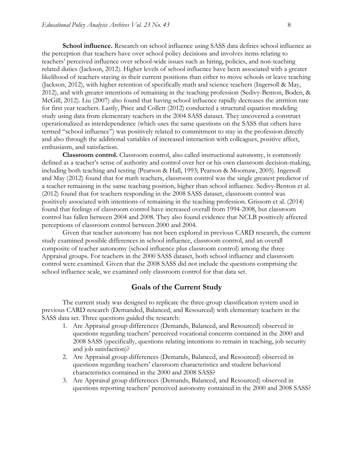**School influence.** Research on school influence using SASS data defines school influence as the perception that teachers have over school policy decisions and involves items relating to teachers' perceived influence over school-wide issues such as hiring, policies, and non-teaching related duties (Jackson, 2012). Higher levels of school influence have been associated with a greater likelihood of teachers staying in their current positions than either to move schools or leave teaching (Jackson, 2012), with higher retention of specifically math and science teachers (Ingersoll & May, 2012), and with greater intentions of remaining in the teaching profession (Sedivy-Benton, Boden, & McGill, 2012). Liu (2007) also found that having school influence rapidly decreases the attrition rate for first year teachers. Lastly, Price and Collett (2012) conducted a structural equation modeling study using data from elementary teachers in the 2004 SASS dataset. They uncovered a construct operationalized as interdependence (which uses the same questions on the SASS that others have termed "school influence") was positively related to commitment to stay in the profession directly and also through the additional variables of increased interaction with colleagues, positive affect, enthusiasm, and satisfaction.

**Classroom control.** Classroom control, also called instructional autonomy, is commonly defined as a teacher's sense of authority and control over her or his own classroom decision-making, including both teaching and testing (Pearson & Hall, 1993; Pearson & Moomaw, 2005). Ingersoll and May (2012) found that for math teachers, classroom control was the single greatest predictor of a teacher remaining in the same teaching position, higher than school influence. Sedivy-Benton et al. (2012) found that for teachers responding in the 2008 SASS dataset, classroom control was positively associated with intentions of remaining in the teaching profession. Grissom et al. (2014) found that feelings of classroom control have increased overall from 1994-2008, but classroom control has fallen between 2004 and 2008. They also found evidence that NCLB positively affected perceptions of classroom control between 2000 and 2004.

Given that teacher autonomy has not been explored in previous CARD research, the current study examined possible differences in school influence, classroom control, and an overall composite of teacher autonomy (school influence plus classroom control) among the three Appraisal groups. For teachers in the 2000 SASS dataset, both school influence and classroom control were examined. Given that the 2008 SASS did not include the questions comprising the school influence scale, we examined only classroom control for that data set.

### **Goals of the Current Study**

The current study was designed to replicate the three-group classification system used in previous CARD research (Demanded, Balanced, and Resourced) with elementary teachers in the SASS data set. Three questions guided the research:

- 1. Are Appraisal group differences (Demands, Balanced, and Resourced) observed in questions regarding teachers' perceived vocational concerns contained in the 2000 and 2008 SASS (specifically, questions relating intentions to remain in teaching, job security and job satisfaction)?
- 2. Are Appraisal group differences (Demands, Balanced, and Resourced) observed in questions regarding teachers' classroom characteristics and student behavioral characteristics contained in the 2000 and 2008 SASS?
- 3. Are Appraisal group differences (Demands, Balanced, and Resourced) observed in questions reporting teachers' perceived autonomy contained in the 2000 and 2008 SASS?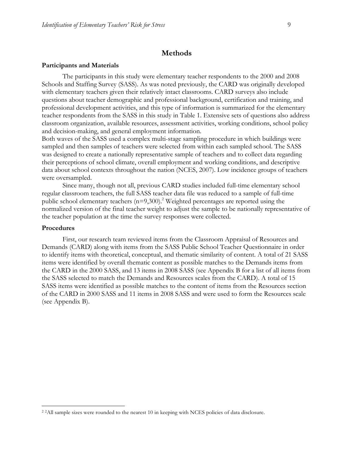### **Methods**

#### **Participants and Materials**

The participants in this study were elementary teacher respondents to the 2000 and 2008 Schools and Staffing Survey (SASS). As was noted previously, the CARD was originally developed with elementary teachers given their relatively intact classrooms. CARD surveys also include questions about teacher demographic and professional background, certification and training, and professional development activities, and this type of information is summarized for the elementary teacher respondents from the SASS in this study in Table 1. Extensive sets of questions also address classroom organization, available resources, assessment activities, working conditions, school policy and decision-making, and general employment information.

Both waves of the SASS used a complex multi-stage sampling procedure in which buildings were sampled and then samples of teachers were selected from within each sampled school. The SASS was designed to create a nationally representative sample of teachers and to collect data regarding their perceptions of school climate, overall employment and working conditions, and descriptive data about school contexts throughout the nation (NCES, 2007). Low incidence groups of teachers were oversampled.

Since many, though not all, previous CARD studies included full-time elementary school regular classroom teachers, the full SASS teacher data file was reduced to a sample of full-time public school elementary teachers  $(n=9,300)$ .<sup>2</sup> Weighted percentages are reported using the normalized version of the final teacher weight to adjust the sample to be nationally representative of the teacher population at the time the survey responses were collected.

#### **Procedures**

First, our research team reviewed items from the Classroom Appraisal of Resources and Demands (CARD) along with items from the SASS Public School Teacher Questionnaire in order to identify items with theoretical, conceptual, and thematic similarity of content. A total of 21 SASS items were identified by overall thematic content as possible matches to the Demands items from the CARD in the 2000 SASS, and 13 items in 2008 SASS (see Appendix B for a list of all items from the SASS selected to match the Demands and Resources scales from the CARD). A total of 15 SASS items were identified as possible matches to the content of items from the Resources section of the CARD in 2000 SASS and 11 items in 2008 SASS and were used to form the Resources scale (see Appendix B).

<sup>&</sup>lt;sup>2</sup> <sup>2</sup>All sample sizes were rounded to the nearest 10 in keeping with NCES policies of data disclosure.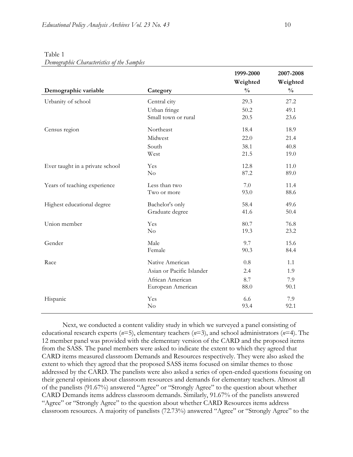|                                 |                           | 1999-2000     | 2007-2008     |
|---------------------------------|---------------------------|---------------|---------------|
|                                 |                           | Weighted      | Weighted      |
| Demographic variable            | Category                  | $\frac{0}{0}$ | $\frac{0}{0}$ |
| Urbanity of school              | Central city              | 29.3          | 27.2          |
|                                 | Urban fringe              | 50.2          | 49.1          |
|                                 | Small town or rural       | 20.5          | 23.6          |
| Census region                   | Northeast                 | 18.4          | 18.9          |
|                                 | Midwest                   | 22.0          | 21.4          |
|                                 | South                     | 38.1          | 40.8          |
|                                 | West                      | 21.5          | 19.0          |
| Ever taught in a private school | Yes                       | 12.8          | 11.0          |
|                                 | No                        | 87.2          | 89.0          |
| Years of teaching experience    | Less than two             | 7.0           | 11.4          |
|                                 | Two or more               | 93.0          | 88.6          |
| Highest educational degree      | Bachelor's only           | 58.4          | 49.6          |
|                                 | Graduate degree           | 41.6          | 50.4          |
| Union member                    | Yes                       | 80.7          | 76.8          |
|                                 | No                        | 19.3          | 23.2          |
| Gender                          | Male                      | 9.7           | 15.6          |
|                                 | Female                    | 90.3          | 84.4          |
| Race                            | Native American           | 0.8           | 1.1           |
|                                 | Asian or Pacific Islander | 2.4           | 1.9           |
|                                 | African American          | 8.7           | 7.9           |
|                                 | European American         | 88.0          | 90.1          |
| Hispanic                        | Yes                       | 6.6           | 7.9           |
|                                 | No                        | 93.4          | 92.1          |

Table 1 *Demographic Characteristics of the Samples*

Next, we conducted a content validity study in which we surveyed a panel consisting of educational research experts (*n*=5), elementary teachers (*n*=3), and school administrators (*n*=4). The 12 member panel was provided with the elementary version of the CARD and the proposed items from the SASS. The panel members were asked to indicate the extent to which they agreed that CARD items measured classroom Demands and Resources respectively. They were also asked the extent to which they agreed that the proposed SASS items focused on similar themes to those addressed by the CARD. The panelists were also asked a series of open-ended questions focusing on their general opinions about classroom resources and demands for elementary teachers. Almost all of the panelists (91.67%) answered "Agree" or "Strongly Agree" to the question about whether CARD Demands items address classroom demands. Similarly, 91.67% of the panelists answered "Agree" or "Strongly Agree" to the question about whether CARD Resources items address classroom resources. A majority of panelists (72.73%) answered "Agree" or "Strongly Agree" to the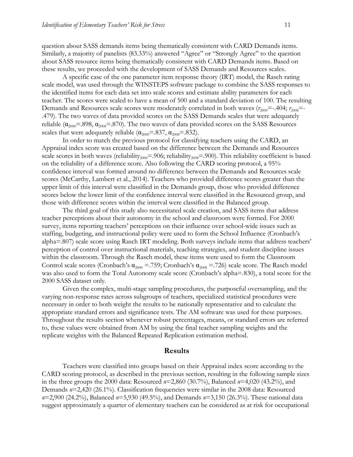question about SASS demands items being thematically consistent with CARD Demands items. Similarly, a majority of panelists (83.33%) answered "Agree" or "Strongly Agree" to the question about SASS resource items being thematically consistent with CARD Demands items. Based on these results, we proceeded with the development of SASS Demands and Resources scales.

A specific case of the one parameter item response theory (IRT) model, the Rasch rating scale model, was used through the WINSTEPS software package to combine the SASS responses to the identified items for each data set into scale scores and estimate ability parameters for each teacher. The scores were scaled to have a mean of 500 and a standard deviation of 100. The resulting Demands and Resources scale scores were moderately correlated in both waves  $(r_{2000}=-.404; r_{2008}=-.008; r_{2008}=-.008; r_{2008}=-.008; r_{2008}=-.008; r_{2008}=-.008; r_{2008}=-.008; r_{2008}=-.008; r_{2008}=-.008; r_{2008}=-.008; r_{2008}=-.008; r$ .479). The two waves of data provided scores on the SASS Demands scales that were adequately reliable ( $\alpha_{2000}$ =.898,  $\alpha_{2008}$ =.870). The two waves of data provided scores on the SASS Resources scales that were adequately reliable ( $\alpha_{2000} = .837$ ,  $\alpha_{2008} = .832$ ).

In order to match the previous protocol for classifying teachers using the CARD, an Appraisal index score was created based on the difference between the Demands and Resources scale scores in both waves (reliability<sub>2000</sub>=.906; reliability<sub>2008</sub>=.900). This reliability coefficient is based on the reliability of a difference score. Also following the CARD scoring protocol, a 95% confidence interval was formed around no difference between the Demands and Resources scale scores (McCarthy, Lambert et al., 2014). Teachers who provided difference scores greater than the upper limit of this interval were classified in the Demands group, those who provided difference scores below the lower limit of the confidence interval were classified in the Resourced group, and those with difference scores within the interval were classified in the Balanced group.

The third goal of this study also necessitated scale creation, and SASS items that address teacher perceptions about their autonomy in the school and classroom were formed. For 2000 survey, items reporting teachers' perceptions on their influence over school-wide issues such as staffing, budgeting, and instructional policy were used to form the School Influence (Cronbach's alpha=.807) scale score using Rasch IRT modeling. Both surveys include items that address teachers' perception of control over instructional materials, teaching strategies, and student discipline issues within the classroom. Through the Rasch model, these items were used to form the Classroom Control scale scores (Cronbach's  $\alpha_{2000} = .759$ ; Cronbach's  $\alpha_{2008} = .726$ ) scale score. The Rasch model was also used to form the Total Autonomy scale score (Cronbach's alpha=.830), a total score for the 2000 SASS dataset only.

Given the complex, multi-stage sampling procedures, the purposeful oversampling, and the varying non-response rates across subgroups of teachers, specialized statistical procedures were necessary in order to both weight the results to be nationally representative and to calculate the appropriate standard errors and significance tests. The AM software was used for these purposes. Throughout the results section whenever robust percentages, means, or standard errors are referred to, these values were obtained from AM by using the final teacher sampling weights and the replicate weights with the Balanced Repeated Replication estimation method.

#### **Results**

Teachers were classified into groups based on their Appraisal index score according to the CARD scoring protocol, as described in the previous section, resulting in the following sample sizes in the three groups the 2000 data: Resourced *n*=2,860 (30.7%), Balanced *n*=4,020 (43.2%), and Demands *n*=2,420 (26.1%). Classification frequencies were similar in the 2008 data: Resourced *n*=2,900 (24.2%), Balanced *n*=5,930 (49.5%), and Demands *n*=3,150 (26.3%). These national data suggest approximately a quarter of elementary teachers can be considered as at risk for occupational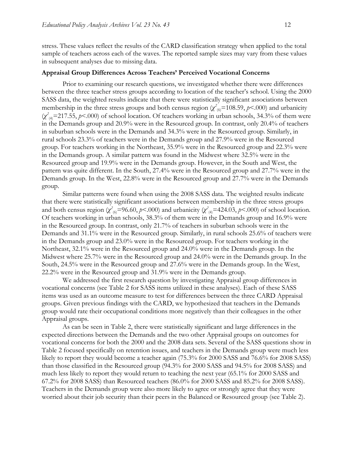stress. These values reflect the results of the CARD classification strategy when applied to the total sample of teachers across each of the waves. The reported sample sizes may vary from these values in subsequent analyses due to missing data.

#### **Appraisal Group Differences Across Teachers' Perceived Vocational Concerns**

Prior to examining our research questions, we investigated whether there were differences between the three teacher stress groups according to location of the teacher's school. Using the 2000 SASS data, the weighted results indicate that there were statistically significant associations between membership in the three stress groups and both census region  $(\chi^2_{(6)} = 108.59, p < .000)$  and urbanicity  $(\chi^2_{(4)} = 217.55, p \le 0.00)$  of school location. Of teachers working in urban schools, 34.3% of them were in the Demands group and 20.9% were in the Resourced group. In contrast, only 20.4% of teachers in suburban schools were in the Demands and 34.3% were in the Resourced group. Similarly, in rural schools 23.3% of teachers were in the Demands group and 27.9% were in the Resourced group. For teachers working in the Northeast, 35.9% were in the Resourced group and 22.3% were in the Demands group. A similar pattern was found in the Midwest where 32.5% were in the Resourced group and 19.9% were in the Demands group. However, in the South and West, the pattern was quite different. In the South, 27.4% were in the Resourced group and 27.7% were in the Demands group. In the West, 22.8% were in the Resourced group and 27.7% were in the Demands group.

Similar patterns were found when using the 2008 SASS data. The weighted results indicate that there were statistically significant associations between membership in the three stress groups and both census region  $(\chi^2_{(6)}=96.60, p<.000)$  and urbanicity  $(\chi^2_{(4)}=424.03, p<.000)$  of school location. Of teachers working in urban schools, 38.3% of them were in the Demands group and 16.9% were in the Resourced group. In contrast, only 21.7% of teachers in suburban schools were in the Demands and 31.1% were in the Resourced group. Similarly, in rural schools 25.6% of teachers were in the Demands group and 23.0% were in the Resourced group. For teachers working in the Northeast, 32.1% were in the Resourced group and 24.0% were in the Demands group. In the Midwest where 25.7% were in the Resourced group and 24.0% were in the Demands group. In the South, 24.5% were in the Resourced group and 27.6% were in the Demands group. In the West, 22.2% were in the Resourced group and 31.9% were in the Demands group.

We addressed the first research question by investigating Appraisal group differences in vocational concerns (see Table 2 for SASS items utilized in these analyses). Each of these SASS items was used as an outcome measure to test for differences between the three CARD Appraisal groups. Given previous findings with the CARD, we hypothesized that teachers in the Demands group would rate their occupational conditions more negatively than their colleagues in the other Appraisal groups.

As can be seen in Table 2, there were statistically significant and large differences in the expected directions between the Demands and the two other Appraisal groups on outcomes for vocational concerns for both the 2000 and the 2008 data sets. Several of the SASS questions show in Table 2 focused specifically on retention issues, and teachers in the Demands group were much less likely to report they would become a teacher again (75.3% for 2000 SASS and 76.6% for 2008 SASS) than those classified in the Resourced group (94.3% for 2000 SASS and 94.5% for 2008 SASS) and much less likely to report they would return to teaching the next year (65.1% for 2000 SASS and 67.2% for 2008 SASS) than Resourced teachers (86.0% for 2000 SASS and 85.2% for 2008 SASS). Teachers in the Demands group were also more likely to agree or strongly agree that they were worried about their job security than their peers in the Balanced or Resourced group (see Table 2).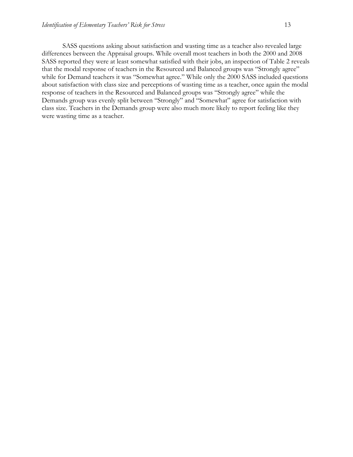SASS questions asking about satisfaction and wasting time as a teacher also revealed large differences between the Appraisal groups. While overall most teachers in both the 2000 and 2008 SASS reported they were at least somewhat satisfied with their jobs, an inspection of Table 2 reveals that the modal response of teachers in the Resourced and Balanced groups was "Strongly agree" while for Demand teachers it was "Somewhat agree." While only the 2000 SASS included questions about satisfaction with class size and perceptions of wasting time as a teacher, once again the modal response of teachers in the Resourced and Balanced groups was "Strongly agree" while the Demands group was evenly split between "Strongly" and "Somewhat" agree for satisfaction with class size. Teachers in the Demands group were also much more likely to report feeling like they were wasting time as a teacher.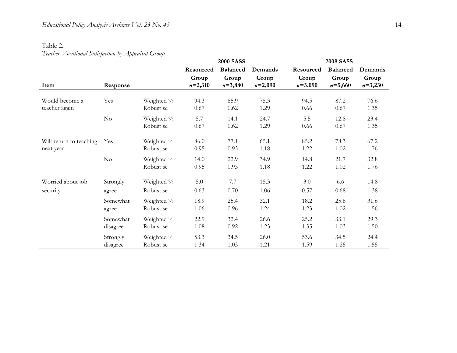### Table 2.

### *Teacher Vocational Satisfaction by Appraisal Group*

|                         |          |                         | <b>2000 SASS</b> |                 |              | <b>2008 SASS</b> |                 |              |
|-------------------------|----------|-------------------------|------------------|-----------------|--------------|------------------|-----------------|--------------|
|                         |          |                         | Resourced        | <b>Balanced</b> | Demands      | Resourced        | <b>Balanced</b> | Demands      |
|                         |          |                         | Group            | Group           | Group        | Group            | Group           | Group        |
| Item                    | Response |                         | $n=2,310$        | $n = 3,880$     | $n=2,090$    | $n=3,090$        | $n = 5,660$     | $n=3,230$    |
| Would become a          | Yes      | Weighted %              | 94.3             | 85.9            | 75.3         | 94.5             | 87.2            | 76.6         |
| teacher again           |          | Robust se               | 0.67             | 0.62            | 1.29         | 0.66             | 0.67            | 1.35         |
|                         | $\rm No$ | Weighted %<br>Robust se | 5.7<br>0.67      | 14.1<br>0.62    | 24.7<br>1.29 | 5.5<br>0.66      | 12.8<br>0.67    | 23.4<br>1.35 |
| Will return to teaching | Yes      | Weighted %              | 86.0             | 77.1            | 65.1         | 85.2             | 78.3            | 67.2         |
| next year               |          | Robust se               | 0.95             | 0.93            | 1.18         | 1.22             | 1.02            | 1.76         |
|                         | No       | Weighted %<br>Robust se | 14.0<br>0.95     | 22.9<br>0.93    | 34.9<br>1.18 | 14.8<br>1.22     | 21.7<br>1.02    | 32.8<br>1.76 |
| Worried about job       | Strongly | Weighted %              | 5.0              | 7.7             | 15.3         | 3.0              | 6.6             | 14.8         |
| security                | agree    | Robust se               | 0.63             | 0.70            | 1.06         | 0.57             | 0.68            | 1.38         |
|                         | Somewhat | Weighted %              | 18.9             | 25.4            | 32.1         | 18.2             | 25.8            | 31.6         |
|                         | agree    | Robust se               | 1.06             | 0.96            | 1.24         | 1.23             | 1.02            | 1.56         |
|                         | Somewhat | Weighted %              | 22.9             | 32.4            | 26.6         | 25.2             | 33.1            | 29.3         |
|                         | disagree | Robust se               | 1.08             | 0.92            | 1.23         | 1.35             | 1.03            | 1.50         |
|                         | Strongly | Weighted %              | 53.3             | 34.5            | 26.0         | 53.6             | 34.5            | 24.4         |
|                         | disagree | Robust se               | 1.34             | 1.03            | 1.21         | 1.59             | 1.25            | 1.55         |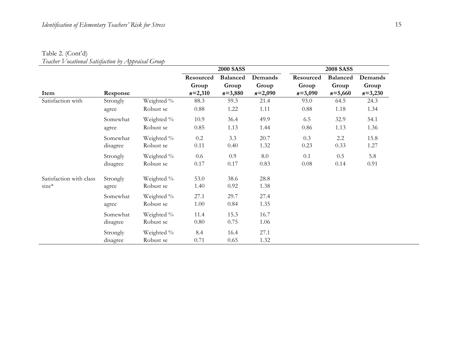## Table 2. (Cont'd)

*Teacher Vocational Satisfaction by Appraisal Group* 

|                         |          |            |           | <b>2000 SASS</b> |           | <b>2008 SASS</b> |                 |           |  |
|-------------------------|----------|------------|-----------|------------------|-----------|------------------|-----------------|-----------|--|
|                         |          |            | Resourced | <b>Balanced</b>  | Demands   | Resourced        | <b>Balanced</b> | Demands   |  |
|                         |          |            | Group     | Group            | Group     | Group            | Group           | Group     |  |
| Item                    | Response |            | $n=2,310$ | $n=3,880$        | $n=2,090$ | $n=3,090$        | $n = 5,660$     | $n=3,230$ |  |
| Satisfaction with       | Strongly | Weighted % | 88.3      | 59.3             | 21.4      | 93.0             | 64.5            | 24.3      |  |
|                         | agree    | Robust se  | 0.88      | 1.22             | 1.11      | 0.88             | 1.18            | 1.34      |  |
|                         | Somewhat | Weighted % | 10.9      | 36.4             | 49.9      | 6.5              | 32.9            | 54.1      |  |
|                         | agree    | Robust se  | 0.85      | 1.13             | 1.44      | 0.86             | 1.13            | 1.36      |  |
|                         | Somewhat | Weighted % | 0.2       | 3.3              | 20.7      | 0.3              | 2.2             | 15.8      |  |
|                         | disagree | Robust se  | 0.11      | 0.40             | 1.32      | 0.23             | 0.33            | 1.27      |  |
|                         | Strongly | Weighted % | 0.6       | 0.9              | 8.0       | 0.1              | 0.5             | 5.8       |  |
|                         | disagree | Robust se  | 0.17      | 0.17             | 0.83      | 0.08             | 0.14            | 0.91      |  |
| Satisfaction with class | Strongly | Weighted % | 53.0      | 38.6             | 28.8      |                  |                 |           |  |
| $size*$                 | agree    | Robust se  | 1.40      | 0.92             | 1.38      |                  |                 |           |  |
|                         | Somewhat | Weighted % | 27.1      | 29.7             | 27.4      |                  |                 |           |  |
|                         | agree    | Robust se  | 1.00      | 0.84             | 1.35      |                  |                 |           |  |
|                         | Somewhat | Weighted % | 11.4      | 15.3             | 16.7      |                  |                 |           |  |
|                         | disagree | Robust se  | 0.80      | 0.75             | 1.06      |                  |                 |           |  |
|                         | Strongly | Weighted % | 8.4       | 16.4             | 27.1      |                  |                 |           |  |
|                         | disagree | Robust se  | 0.71      | 0.65             | 1.32      |                  |                 |           |  |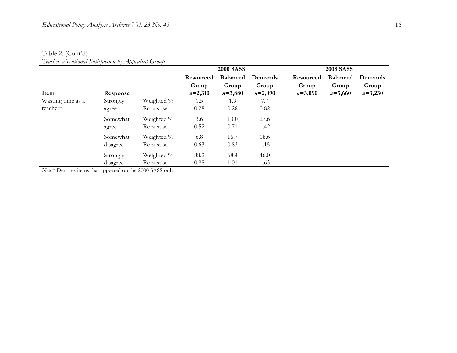### Table 2. (Cont'd)

*Teacher Vocational Satisfaction by Appraisal Group*

|                   |          |            |           | <b>2000 SASS</b> |           | <b>2008 SASS</b> |                 |           |  |
|-------------------|----------|------------|-----------|------------------|-----------|------------------|-----------------|-----------|--|
|                   |          |            | Resourced | <b>Balanced</b>  | Demands   | Resourced        | <b>Balanced</b> | Demands   |  |
|                   |          |            | Group     | Group            | Group     | Group            | Group           | Group     |  |
| Item              | Response |            | $n=2,310$ | $n = 3,880$      | $n=2,090$ | $n = 3,090$      | $n = 5,660$     | $n=3,230$ |  |
| Wasting time as a | Strongly | Weighted % | 1.5       | 1.9              | 7.7       |                  |                 |           |  |
| teacher*          | agree    | Robust se  | 0.28      | 0.28             | 0.82      |                  |                 |           |  |
|                   | Somewhat | Weighted % | 3.6       | 13.0             | 27.6      |                  |                 |           |  |
|                   | agree    | Robust se  | 0.52      | 0.71             | 1.42      |                  |                 |           |  |
|                   | Somewhat | Weighted % | 6.8       | 16.7             | 18.6      |                  |                 |           |  |
|                   | disagree | Robust se  | 0.63      | 0.83             | 1.15      |                  |                 |           |  |
|                   | Strongly | Weighted % | 88.2      | 68.4             | 46.0      |                  |                 |           |  |
|                   | disagree | Robust se  | 0.88      | 1.01             | 1.63      |                  |                 |           |  |

*Note.*\* Denotes items that appeared on the 2000 SASS only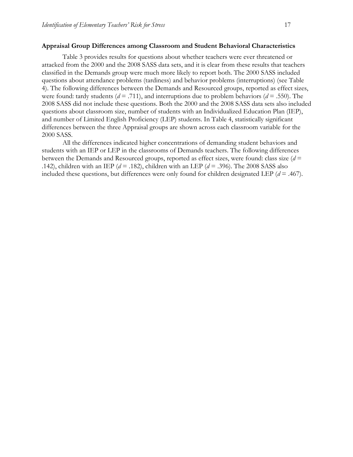#### **Appraisal Group Differences among Classroom and Student Behavioral Characteristics**

Table 3 provides results for questions about whether teachers were ever threatened or attacked from the 2000 and the 2008 SASS data sets, and it is clear from these results that teachers classified in the Demands group were much more likely to report both. The 2000 SASS included questions about attendance problems (tardiness) and behavior problems (interruptions) (see Table 4). The following differences between the Demands and Resourced groups, reported as effect sizes, were found: tardy students ( $d = .711$ ), and interruptions due to problem behaviors ( $d = .550$ ). The 2008 SASS did not include these questions. Both the 2000 and the 2008 SASS data sets also included questions about classroom size, number of students with an Individualized Education Plan (IEP), and number of Limited English Proficiency (LEP) students. In Table 4, statistically significant differences between the three Appraisal groups are shown across each classroom variable for the 2000 SASS.

All the differences indicated higher concentrations of demanding student behaviors and students with an IEP or LEP in the classrooms of Demands teachers. The following differences between the Demands and Resourced groups, reported as effect sizes, were found: class size (*d* = .142), children with an IEP (*d* = .182), children with an LEP (*d* = .396). The 2008 SASS also included these questions, but differences were only found for children designated LEP (*d* = .467).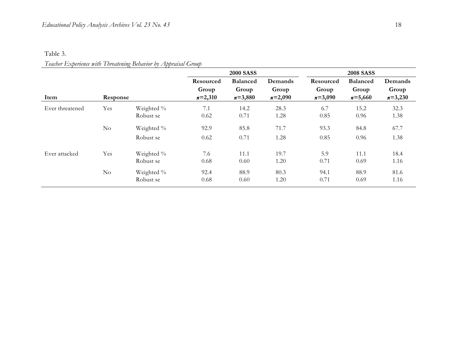### Table 3.

### *Teacher Experience with Threatening Behavior by Appraisal Group*

|                 |          |                         |                                 | <b>2000 SASS</b>                        |                               | <b>2008 SASS</b>                |                                         |                               |
|-----------------|----------|-------------------------|---------------------------------|-----------------------------------------|-------------------------------|---------------------------------|-----------------------------------------|-------------------------------|
| Item            | Response |                         | Resourced<br>Group<br>$n=2,310$ | <b>Balanced</b><br>Group<br>$n = 3,880$ | Demands<br>Group<br>$n=2,090$ | Resourced<br>Group<br>$n=3,090$ | <b>Balanced</b><br>Group<br>$n = 5,660$ | Demands<br>Group<br>$n=3,230$ |
| Ever threatened | Yes      | Weighted %<br>Robust se | 7.1<br>0.62                     | 14.2<br>0.71                            | 28.3<br>1.28                  | 6.7<br>0.85                     | 15.2<br>0.96                            | 32.3<br>1.38                  |
|                 | No       | Weighted %<br>Robust se | 92.9<br>0.62                    | 85.8<br>0.71                            | 71.7<br>1.28                  | 93.3<br>0.85                    | 84.8<br>0.96                            | 67.7<br>1.38                  |
| Ever attacked   | Yes      | Weighted %<br>Robust se | 7.6<br>0.68                     | 11.1<br>0.60                            | 19.7<br>1.20                  | 5.9<br>0.71                     | 11.1<br>0.69                            | 18.4<br>1.16                  |
|                 | No       | Weighted %<br>Robust se | 92.4<br>0.68                    | 88.9<br>0.60                            | 80.3<br>1.20                  | 94.1<br>0.71                    | 88.9<br>0.69                            | 81.6<br>1.16                  |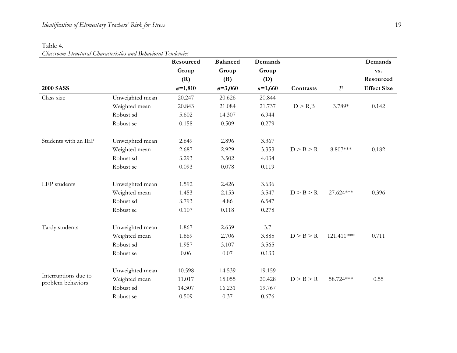### Table 4.

## *Classroom Structural Characteristics and Behavioral Tendencies*

|                                           |                 | Resourced | <b>Balanced</b> | Demands   |                          |                  | Demands            |
|-------------------------------------------|-----------------|-----------|-----------------|-----------|--------------------------|------------------|--------------------|
|                                           |                 | Group     | Group           | Group     |                          |                  | vs.                |
|                                           |                 | (R)       | (B)             | (D)       |                          |                  | Resourced          |
| <b>2000 SASS</b>                          |                 | $n=1,810$ | $n = 3,060$     | $n=1,660$ | Contrasts                | $\boldsymbol{F}$ | <b>Effect Size</b> |
| Class size                                | Unweighted mean | 20.247    | 20.626          | 20.844    |                          |                  |                    |
|                                           | Weighted mean   | 20.843    | 21.084          | 21.737    | $D > R$ <sub>,</sub> $B$ | 3.789*           | 0.142              |
|                                           | Robust sd       | 5.602     | 14.307          | 6.944     |                          |                  |                    |
|                                           | Robust se       | 0.158     | 0.509           | 0.279     |                          |                  |                    |
| Students with an IEP                      | Unweighted mean | 2.649     | 2.896           | 3.367     |                          |                  |                    |
|                                           | Weighted mean   | 2.687     | 2.929           | 3.353     | D > B > R                | 8.807***         | 0.182              |
|                                           | Robust sd       | 3.293     | 3.502           | 4.034     |                          |                  |                    |
|                                           | Robust se       | 0.093     | 0.078           | 0.119     |                          |                  |                    |
| LEP students                              | Unweighted mean | 1.592     | 2.426           | 3.636     |                          |                  |                    |
|                                           | Weighted mean   | 1.453     | 2.153           | 3.547     | D > B > R                | 27.624***        | 0.396              |
|                                           | Robust sd       | 3.793     | 4.86            | 6.547     |                          |                  |                    |
|                                           | Robust se       | 0.107     | 0.118           | 0.278     |                          |                  |                    |
| Tardy students                            | Unweighted mean | 1.867     | 2.639           | 3.7       |                          |                  |                    |
|                                           | Weighted mean   | 1.869     | 2.706           | 3.885     | D > B > R                | 121.411***       | 0.711              |
|                                           | Robust sd       | 1.957     | 3.107           | 3.565     |                          |                  |                    |
|                                           | Robust se       | 0.06      | 0.07            | 0.133     |                          |                  |                    |
|                                           | Unweighted mean | 10.598    | 14.539          | 19.159    |                          |                  |                    |
| Interruptions due to<br>problem behaviors | Weighted mean   | 11.017    | 15.055          | 20.428    | D > B > R                | 58.724 ***       | 0.55               |
|                                           | Robust sd       | 14.307    | 16.231          | 19.767    |                          |                  |                    |
|                                           | Robust se       | 0.509     | 0.37            | 0.676     |                          |                  |                    |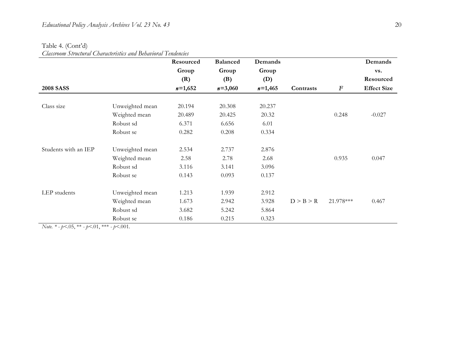### Table 4. (Cont'd)

*Classroom Structural Characteristics and Behavioral Tendencies*

|                      |                 | Resourced | <b>Balanced</b> | Demands   |           |                  | Demands            |
|----------------------|-----------------|-----------|-----------------|-----------|-----------|------------------|--------------------|
|                      |                 | Group     | Group           | Group     |           |                  | vs.                |
|                      |                 | (R)       | (B)             | (D)       |           |                  | Resourced          |
| <b>2008 SASS</b>     |                 | $n=1,652$ | $n=3,060$       | $n=1,465$ | Contrasts | $\boldsymbol{F}$ | <b>Effect Size</b> |
| Class size           | Unweighted mean | 20.194    | 20.308          | 20.237    |           |                  |                    |
|                      | Weighted mean   | 20.489    | 20.425          | 20.32     |           | 0.248            | $-0.027$           |
|                      | Robust sd       | 6.371     | 6.656           | 6.01      |           |                  |                    |
|                      | Robust se       | 0.282     | 0.208           | 0.334     |           |                  |                    |
| Students with an IEP | Unweighted mean | 2.534     | 2.737           | 2.876     |           |                  |                    |
|                      | Weighted mean   | 2.58      | 2.78            | 2.68      |           | 0.935            | 0.047              |
|                      | Robust sd       | 3.116     | 3.141           | 3.096     |           |                  |                    |
|                      | Robust se       | 0.143     | 0.093           | 0.137     |           |                  |                    |
| LEP students         | Unweighted mean | 1.213     | 1.939           | 2.912     |           |                  |                    |
|                      | Weighted mean   | 1.673     | 2.942           | 3.928     | D > B > R | 21.978***        | 0.467              |
|                      | Robust sd       | 3.682     | 5.242           | 5.864     |           |                  |                    |
|                      | Robust se       | 0.186     | 0.215           | 0.323     |           |                  |                    |

*Note.* \* -  $p < .05$ , \*\* -  $p < .01$ , \*\*\* -  $p < .001$ .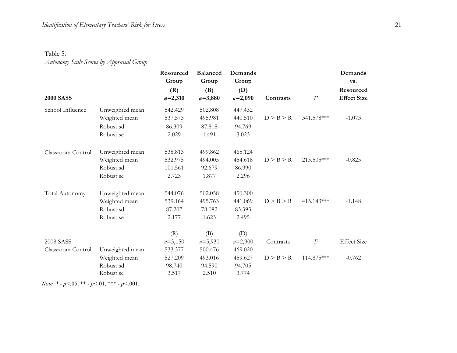### Table 5. *Autonomy Scale Scores by Appraisal Group*

| <b>2000 SASS</b>               |                                                            | Resourced<br>Group<br>(R)<br>$n=2,310$                    | <b>Balanced</b><br>Group<br>(B)<br>$n = 3,880$            | Demands<br>Group<br>(D)<br>$n=2,090$                      | Contrasts              | $\boldsymbol{F}$               | Demands<br>vs.<br>Resourced<br><b>Effect Size</b> |
|--------------------------------|------------------------------------------------------------|-----------------------------------------------------------|-----------------------------------------------------------|-----------------------------------------------------------|------------------------|--------------------------------|---------------------------------------------------|
| School Influence               | Unweighted mean<br>Weighted mean<br>Robust sd<br>Robust se | 542.429<br>537.573<br>86.309<br>2.029                     | 502.808<br>495.981<br>87.818<br>1.491                     | 447.432<br>440.510<br>94.769<br>3.023                     | D > B > R              | 341.578***                     | $-1.073$                                          |
| Classroom Control              | Unweighted mean<br>Weighted mean<br>Robust sd<br>Robust se | 538.813<br>532.975<br>101.561<br>2.723                    | 499.862<br>494.005<br>92.679<br>1.877                     | 465.124<br>454.618<br>86.990<br>2.296                     | D > B > R              | 215.505***                     | $-0.825$                                          |
| Total Autonomy                 | Unweighted mean<br>Weighted mean<br>Robust sd<br>Robust se | 544.076<br>539.164<br>87.207<br>2.177                     | 502.058<br>495.763<br>78.082<br>1.623                     | 450.300<br>441.069<br>83.393<br>2.495                     | D > B > R              | 415.143***                     | $-1.148$                                          |
| 2008 SASS<br>Classroom Control | Unweighted mean<br>Weighted mean<br>Robust sd<br>Robust se | (R)<br>$n=3,150$<br>533.377<br>527.209<br>98.740<br>3.517 | (B)<br>$n=5,930$<br>500.476<br>493.016<br>94.590<br>2.510 | (D)<br>$n=2,900$<br>469.020<br>459.627<br>94.705<br>3.774 | Contrasts<br>D > B > R | $\boldsymbol{F}$<br>114.875*** | <b>Effect Size</b><br>$-0.762$                    |

*Note. \* - p<.*05, \*\* *- p<.*01, \*\*\* *- p<.*001.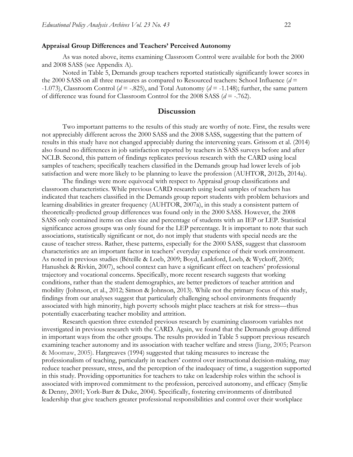### **Appraisal Group Differences and Teachers' Perceived Autonomy**

As was noted above, items examining Classroom Control were available for both the 2000 and 2008 SASS (see Appendix A).

Noted in Table 5, Demands group teachers reported statistically significantly lower scores in the 2000 SASS on all three measures as compared to Resourced teachers: School Influence (*d* = -1.073), Classroom Control ( $d = -0.825$ ), and Total Autonomy ( $d = -1.148$ ); further, the same pattern of difference was found for Classroom Control for the 2008 SASS (*d* = -.762).

### **Discussion**

Two important patterns to the results of this study are worthy of note. First, the results were not appreciably different across the 2000 SASS and the 2008 SASS, suggesting that the pattern of results in this study have not changed appreciably during the intervening years. Grissom et al. (2014) also found no differences in job satisfaction reported by teachers in SASS surveys before and after NCLB. Second, this pattern of findings replicates previous research with the CARD using local samples of teachers; specifically teachers classified in the Demands group had lower levels of job satisfaction and were more likely to be planning to leave the profession (AUHTOR, 2012b, 2014a).

The findings were more equivocal with respect to Appraisal group classifications and classroom characteristics. While previous CARD research using local samples of teachers has indicated that teachers classified in the Demands group report students with problem behaviors and learning disabilities in greater frequency (AUHTOR, 2007a), in this study a consistent pattern of theoretically-predicted group differences was found only in the 2000 SASS. However, the 2008 SASS only contained items on class size and percentage of students with an IEP or LEP. Statistical significance across groups was only found for the LEP percentage. It is important to note that such associations, statistically significant or not, do not imply that students with special needs are the cause of teacher stress. Rather, these patterns, especially for the 2000 SASS, suggest that classroom characteristics are an important factor in teachers' everyday experience of their work environment. As noted in previous studies (Béteille & Loeb, 2009; Boyd, Lankford, Loeb, & Wyckoff, 2005; Hanushek & Rivkin, 2007), school context can have a significant effect on teachers' professional trajectory and vocational concerns. Specifically, more recent research suggests that working conditions, rather than the student demographics, are better predictors of teacher attrition and mobility (Johnson, et al., 2012; Simon & Johnson, 2013). While not the primary focus of this study, findings from our analyses suggest that particularly challenging school environments frequently associated with high minority, high poverty schools might place teachers at risk for stress—thus potentially exacerbating teacher mobility and attrition.

Research question three extended previous research by examining classroom variables not investigated in previous research with the CARD. Again, we found that the Demands group differed in important ways from the other groups. The results provided in Table 5 support previous research examining teacher autonomy and its association with teacher welfare and stress (Jiang, 2005; Pearson & Moomaw, 2005). Hargreaves (1994) suggested that taking measures to increase the professionalism of teaching, particularly in teachers' control over instructional decision-making, may reduce teacher pressure, stress, and the perception of the inadequacy of time, a suggestion supported in this study. Providing opportunities for teachers to take on leadership roles within the school is associated with improved commitment to the profession, perceived autonomy, and efficacy (Smylie & Denny, 2001; York-Barr & Duke, 2004). Specifically, fostering environments of distributed leadership that give teachers greater professional responsibilities and control over their workplace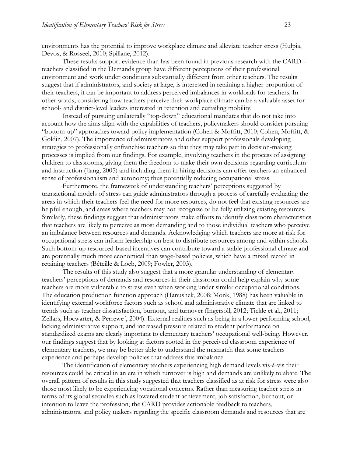environments has the potential to improve workplace climate and alleviate teacher stress (Hulpia, Devos, & Rosseel, 2010; Spillane, 2012).

These results support evidence than has been found in previous research with the CARD – teachers classified in the Demands group have different perceptions of their professional environment and work under conditions substantially different from other teachers. The results suggest that if administrators, and society at large, is interested in retaining a higher proportion of their teachers, it can be important to address perceived imbalances in workloads for teachers. In other words, considering how teachers perceive their workplace climate can be a valuable asset for school- and district-level leaders interested in retention and curtailing mobility.

Instead of pursuing unilaterally "top-down" educational mandates that do not take into account how the aims align with the capabilities of teachers, policymakers should consider pursuing "bottom-up" approaches toward policy implementation (Cohen & Moffitt, 2010; Cohen, Moffitt, & Goldin, 2007). The importance of administrators and other support professionals developing strategies to professionally enfranchise teachers so that they may take part in decision-making processes is implied from our findings. For example, involving teachers in the process of assigning children to classrooms, giving them the freedom to make their own decisions regarding curriculum and instruction (Jiang, 2005) and including them in hiring decisions can offer teachers an enhanced sense of professionalism and autonomy; thus potentially reducing occupational stress.

Furthermore, the framework of understanding teachers' perceptions suggested by transactional models of stress can guide administrators through a process of carefully evaluating the areas in which their teachers feel the need for more resources, do not feel that existing resources are helpful enough, and areas where teachers may not recognize or be fully utilizing existing resources. Similarly, these findings suggest that administrators make efforts to identify classroom characteristics that teachers are likely to perceive as most demanding and to those individual teachers who perceive an imbalance between resources and demands. Acknowledging which teachers are more at-risk for occupational stress can inform leadership on best to distribute resources among and within schools. Such bottom-up resourced-based incentives can contribute toward a stable professional climate and are potentially much more economical than wage-based policies, which have a mixed record in retaining teachers (Béteille & Loeb, 2009; Fowler, 2003).

The results of this study also suggest that a more granular understanding of elementary teachers' perceptions of demands and resources in their classroom could help explain why some teachers are more vulnerable to stress even when working under similar occupational conditions. The education production function approach (Hanushek, 2008; Monk, 1988) has been valuable in identifying external workforce factors such as school and administrative climate that are linked to trends such as teacher dissatisfaction, burnout, and turnover (Ingersoll, 2012; Tickle et al., 2011; Zellars, Hocwarter, & Perrewe´, 2004). External realities such as being in a lower performing school, lacking administrative support, and increased pressure related to student performance on standardized exams are clearly important to elementary teachers' occupational well-being. However, our findings suggest that by looking at factors rooted in the perceived classroom experience of elementary teachers, we may be better able to understand the mismatch that some teachers experience and perhaps develop policies that address this imbalance.

The identification of elementary teachers experiencing high demand levels vis-à-vis their resources could be critical in an era in which turnover is high and demands are unlikely to abate. The overall pattern of results in this study suggested that teachers classified as at risk for stress were also those most likely to be experiencing vocational concerns. Rather than measuring teacher stress in terms of its global sequalea such as lowered student achievement, job satisfaction, burnout, or intention to leave the profession, the CARD provides actionable feedback to teachers, administrators, and policy makers regarding the specific classroom demands and resources that are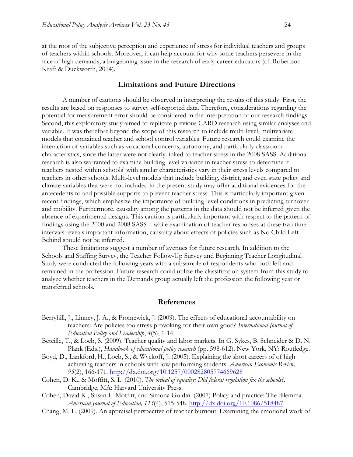at the root of the subjective perception and experience of stress for individual teachers and groups of teachers within schools. Moreover, it can help account for why some teachers persevere in the face of high demands, a burgeoning issue in the research of early-career educators (cf. Robertson-Kraft & Duckworth, 2014).

### **Limitations and Future Directions**

A number of cautions should be observed in interpreting the results of this study. First, the results are based on responses to survey self-reported data. Therefore, considerations regarding the potential for measurement error should be considered in the interpretation of our research findings. Second, this exploratory study aimed to replicate previous CARD research using similar analyses and variable. It was therefore beyond the scope of this research to include multi-level, multivariate models that contained teacher and school control variables. Future research could examine the interaction of variables such as vocational concerns, autonomy, and particularly classroom characteristics, since the latter were not clearly linked to teacher stress in the 2008 SASS. Additional research is also warranted to examine building-level variance in teacher stress to determine if teachers nested within schools' with similar characteristics vary in their stress levels compared to teachers in other schools. Multi-level models that include building, district, and even state policy and climate variables that were not included in the present study may offer additional evidences for the antecedents to and possible supports to prevent teacher stress. This is particularly important given recent findings, which emphasize the importance of building-level conditions in predicting turnover and mobility. Furthermore, causality among the patterns in the data should not be inferred given the absence of experimental designs. This caution is particularly important with respect to the pattern of findings using the 2000 and 2008 SASS – while examination of teacher responses at these two time intervals reveals important information, causality about effects of policies such as No Child Left Behind should not be inferred.

These limitations suggest a number of avenues for future research. In addition to the Schools and Staffing Survey, the Teacher Follow-Up Survey and Beginning Teacher Longitudinal Study were conducted the following years with a subsample of respondents who both left and remained in the profession. Future research could utilize the classification system from this study to analyze whether teachers in the Demands group actually left the profession the following year or transferred schools.

### **References**

- Berryhill, J., Linney, J. A., & Fromewick, J. (2009). The effects of educational accountability on teachers: Are policies too stress provoking for their own good? *International Journal of Education Policy and Leadership*, *4*(5), 1-14.
- Béteille, T., & Loeb, S. (2009). Teacher quality and labor markets. In G. Sykes, B. Schneider & D. N. Plank (Eds.), *Handbook of educational policy research* (pp. 598-612). New York, NY: Routledge.
- Boyd, D., Lankford, H., Loeb, S., & Wyckoff, J. (2005). Explaining the short careers of of high achieving teachers in schools with low performing students. *American Economic Review, 95*(2), 166-171. http://dx.doi.org/10.1257/000282805774669628
- Cohen, D. K., & Moffitt, S. L. (2010). *The ordeal of equality: Did federal regulation fix the schools?*. Cambridge, MA: Harvard University Press.
- Cohen, David K., Susan L. Moffitt, and Simona Goldin. (2007) Policy and practice: The dilemma. *American Journal of Education, 113*(4), 515-548. http://dx.doi.org/10.1086/518487
- Chang, M. L. (2009). An appraisal perspective of teacher burnout: Examining the emotional work of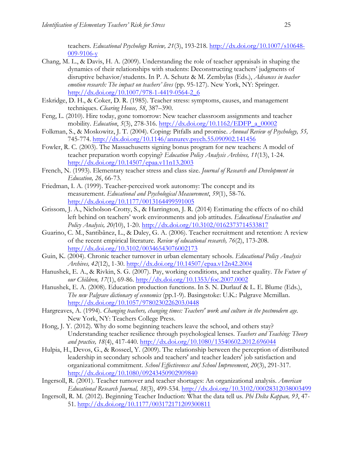teachers. *Educational Psychology Review, 21*(3), 193-218. http://dx.doi.org/10.1007/s10648- 009-9106-y

- Chang, M. L., & Davis, H. A. (2009). Understanding the role of teacher appraisals in shaping the dynamics of their relationships with students: Deconstructing teachers' judgments of disruptive behavior/students. In P. A. Schutz & M. Zembylas (Eds.), *Advances in teacher emotion research: The impact on teachers' lives* (pp. 95-127). New York, NY: Springer. http://dx.doi.org/10.1007/978-1-4419-0564-2\_6
- Eskridge, D. H., & Coker, D. R. (1985). Teacher stress: symptoms, causes, and management techniques. *Clearing House, 58*, 387–390.
- Feng, L. (2010). Hire today, gone tomorrow: New teacher classroom assignments and teacher mobility. *Education*, *5*(3), 278-316. http://dx.doi.org/10.1162/EDFP\_a\_00002
- Folkman, S., & Moskowitz, J. T. (2004). Coping: Pitfalls and promise. *Annual Review of Psychology, 55,*  745-774. http://dx.doi.org/10.1146/annurev.psych.55.090902.141456
- Fowler, R. C. (2003). The Massachusetts signing bonus program for new teachers: A model of teacher preparation worth copying? *Education Policy Analysis Archives, 11*(13), 1-24. http://dx.doi.org/10.14507/epaa.v11n13.2003
- French, N. (1993). Elementary teacher stress and class size. *Journal of Research and Development in Education, 26*, 66-73.
- Friedman, I. A. (1999). Teacher-perceived work autonomy: The concept and its measurement. *Educational and Psychological Measurement*, *59*(1), 58-76. http://dx.doi.org/10.1177/0013164499591005
- Grissom, J. A., Nicholson-Crotty, S., & Harrington, J. R. (2014) Estimating the effects of no child left behind on teachers' work environments and job attitudes. *Educational Evaluation and Policy Analysis, 20(*10), 1-20. http://dx.doi.org/10.3102/0162373714533817
- Guarino, C. M., Santibãnez, L., & Daley, G. A. (2006). Teacher recruitment and retention: A review of the recent empirical literature. *Review of educational research, 76*(2), 173-208. http://dx.doi.org/10.3102/00346543076002173
- Guin, K. (2004). Chronic teacher turnover in urban elementary schools. *Educational Policy Analysis Archives, 42*(12), 1-30. http://dx.doi.org/10.14507/epaa.v12n42.2004
- Hanushek, E. A., & Rivkin, S. G. (2007). Pay, working conditions, and teacher quality. *The Future of our Children, 17*(1), 69-86. http://dx.doi.org/10.1353/foc.2007.0002
- Hanushek, E. A. (2008). Education production functions. In S. N. Durlauf & L. E. Blume (Eds.), *The new Palgrave dictionary of economics* (pp.1-9). Basingstoke: U.K.: Palgrave Mcmillan. http://dx.doi.org/10.1057/9780230226203.0448
- Hargreaves, A. (1994). *Changing teachers, changing times: Teachers' work and culture in the postmodern age.* New York, NY: Teachers College Press.
- Hong, J. Y. (2012). Why do some beginning teachers leave the school, and others stay? Understanding teacher resilience through psychological lenses. *Teachers and Teaching: Theory and practice, 18*(4), 417-440. http://dx.doi.org/10.1080/13540602.2012.696044
- Hulpia, H., Devos, G., & Rosseel, Y. (2009). The relationship between the perception of distributed leadership in secondary schools and teachers' and teacher leaders' job satisfaction and organizational commitment. *School Effectiveness and School Improvement*, *20*(3), 291-317. http://dx.doi.org/10.1080/09243450902909840
- Ingersoll, R. (2001). Teacher turnover and teacher shortages: An organizational analysis. *American Educational Research Journal, 38*(3), 499-534. http://dx.doi.org/10.3102/00028312038003499
- Ingersoll, R. M. (2012). Beginning Teacher Induction: What the data tell us. *Phi Delta Kappan, 93*, 47- 51. http://dx.doi.org/10.1177/003172171209300811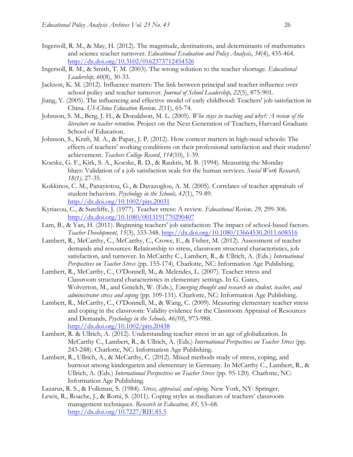- Ingersoll, R. M., & May, H. (2012). The magnitude, destinations, and determinants of mathematics and science teacher turnover. *Educational Evaluation and Policy Analysis*, *34*(4), 435-464. http://dx.doi.org/10.3102/0162373712454326
- Ingersoll, R. M., & Smith, T. M. (2003). The wrong solution to the teacher shortage. *Educational Leadership, 60*(8), 30-33.
- Jackson, K. M. (2012). Influence matters: The link between principal and teacher influence over school policy and teacher turnover. *Journal of School Leadership*, *22*(5), 875-901.
- Jiang, Y. (2005). The influencing and effective model of early childhood: Teachers' job satisfaction in China. *US-China Education Review, 2*(11), 65-74.
- Johnson, S. M., Berg, J. H., & Donaldson, M. L. (2005). *Who stays in teaching and why?: A review of the literature on teacher retention*. Project on the Next Generation of Teachers, Harvard Graduate School of Education.
- Johnson, S., Kraft, M. A., & Papay, J. P. (2012). How context matters in high-need schools: The effects of teachers' working conditions on their professional satisfaction and their students' achievement. *Teachers College Record*, *114*(10), 1-39.
- Koeske, G. F., Kirk, S. A., Koeske, R. D., & Rauktis, M. B. (1994). Measuring the Monday blues: Validation of a job satisfaction scale for the human services. *Social Work Research, 18(1),* 27-35.
- Kokkinos, C. M., Panayiotou, G., & Davazoglou, A. M. (2005). Correlates of teacher appraisals of student behaviors. *Psychology in the Schools, 42*(1), 79-89. http://dx.doi.org/10.1002/pits.20031
- Kyriacou, C., & Sutcliffe, J. (1977). Teacher stress: A review. *Educational Review, 29,* 299-306. http://dx.doi.org/10.1080/0013191770290407
- Lam, B., & Yan, H. (2011). Beginning teachers' job satisfaction: The impact of school-based factors. *Teacher Development, 15*(3), 333-348. http://dx.doi.org/10.1080/13664530.2011.608516
- Lambert, R., McCarthy, C., McCarthy, C., Crowe, E., & Fisher, M. (2012). Assessment of teacher demands and resources: Relationship to stress, classroom structural characteristics, job satisfaction, and turnover. In McCarthy C., Lambert, R., & Ullrich, A. (Eds.) *International Perspectives on Teacher Stress* (pp. 155-174)*.* Charlotte, NC: Information Age Publishing.
- Lambert, R., McCarthy, C., O'Donnell, M., & Melendes, L. (2007). Teacher stress and Classroom structural characteristics in elementary settings. In G. Gates, Wolverton, M., and Gmelch, W. (Eds.), *Emerging thought and research on student, teacher, and administrator stress and coping* (pp. 109-131). Charlotte, NC: Information Age Publishing.
- Lambert, R., McCarthy, C., O'Donnell, M., & Wang, C. (2009). Measuring elementary teacher stress and coping in the classroom: Validity evidence for the Classroom Appraisal of Resources and Demands, *Psychology in the Schools, 46(10*), 973-988. http://dx.doi.org/10.1002/pits.20438
- Lambert, R. & Ullrich, A. (2012). Understanding teacher stress in an age of globalization. In McCarthy C., Lambert, R., & Ullrich, A. (Eds.) *International Perspectives on Teacher Stress* (pp. 243-248). Charlotte, NC: Information Age Publishing.
- Lambert, R., Ullrich, A., & McCarthy, C. (2012). Mixed methods study of stress, coping, and burnout among kindergarten and elementary in Germany. In McCarthy C., Lambert, R., & Ullrich, A. (Eds.) *International Perspectives on Teacher Stress* (pp. 95-120)*.* Charlotte, NC: Information Age Publishing.
- Lazarus, R. S., & Folkman, S. (1984). *Stress, appraisal, and coping.* New York, NY: Springer.
- Lewis, R., Roache, J., & Romi, S. (2011). Coping styles as mediators of teachers' classroom management techniques. *Research in Education, 85*, 53–68. http://dx.doi.org/10.7227/RIE.85.5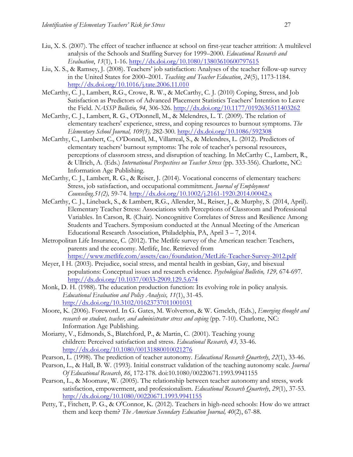- Liu, X. S. (2007). The effect of teacher influence at school on first-year teacher attrition: A multilevel analysis of the Schools and Staffing Survey for 1999–2000. *Educational Research and Evaluation*, *13*(1), 1-16. http://dx.doi.org/10.1080/13803610600797615
- Liu, X. S., & Ramsey, J. (2008). Teachers' job satisfaction: Analyses of the teacher follow-up survey in the United States for 2000–2001. *Teaching and Teacher Education*, *24*(5), 1173-1184. http://dx.doi.org/10.1016/j.tate.2006.11.010
- McCarthy, C. J., Lambert, R.G., Crowe, R. W., & McCarthy, C. J. (2010) Coping, Stress, and Job Satisfaction as Predictors of Advanced Placement Statistics Teachers' Intention to Leave the Field. *NASSP Bulletin, 94*, 306-326. http://dx.doi.org/10.1177/0192636511403262
- McCarthy, C. J., Lambert, R. G., O'Donnell, M., & Melendres, L. T. (2009). The relation of elementary teachers' experience, stress, and coping resources to burnout symptoms. *The Elementary School Journal, 109(3),* 282-300. http://dx.doi.org/10.1086/592308
- McCarthy, C., Lambert, C., O'Donnell, M., Villarreal, S., & Melendres, L. (2012). Predictors of elementary teachers' burnout symptoms: The role of teacher's personal resources, perceptions of classroom stress, and disruption of teaching. In McCarthy C., Lambert, R., & Ullrich, A. (Eds.) *International Perspectives on Teacher Stress* (pp. 333-356). Charlotte, NC: Information Age Publishing.
- McCarthy, C. J., Lambert, R. G., & Reiser, J. (2014). Vocational concerns of elementary teachers: Stress, job satisfaction, and occupational commitment. *Journal of Employment Counseling.51(2),* 59-74. http://dx.doi.org/10.1002/j.2161-1920.2014.00042.x
- McCarthy, C. J., Lineback, S., & Lambert, R.G., Allender, M., Reiser, J., & Murphy, S. (2014, April). Elementary Teacher Stress: Associations with Perceptions of Classroom and Professional Variables. In Carson, R. (Chair). Noncognitive Correlates of Stress and Resilience Among Students and Teachers. Symposium conducted at the Annual Meeting of the American Educational Research Association, Philadelphia, PA, April 3 – 7, 2014.
- Metropolitan Life Insurance, C. (2012). The Metlife survey of the American teacher: Teachers, parents and the economy. Metlife, Inc. Retrieved from https://www.metlife.com/assets/cao/foundation/MetLife-Teacher-Survey-2012.pdf
- Meyer, I H. (2003). Prejudice, social stress, and mental health in gesbian, Gay, and bisexual populations: Conceptual issues and research evidence. *Psychological Bulletin, 129,* 674-697. http://dx.doi.org/10.1037/0033-2909.129.5.674
- Monk, D. H. (1988). The education production function: Its evolving role in policy analysis. *Educational Evaluation and Policy Analysis, 11*(1), 31-45. http://dx.doi.org/10.3102/01623737011001031
- Moore, K. (2006). Foreword. In G. Gates, M. Wolverton, & W. Gmelch, (Eds.), *Emerging thought and research on student, teacher, and administrator stress and coping* (pp. 7-10). Charlotte, NC: Information Age Publishing.
- Moriarty, V., Edmonds, S., Blatchford, P., & Martin, C. (2001). Teaching young children: Perceived satisfaction and stress. *Educational Research, 43,* 33-46. http://dx.doi.org/10.1080/00131880010021276
- Pearson, L. (1998). The prediction of teacher autonomy. *Educational Research Quarterly*, *22*(1), 33-46.
- Pearson, L., & Hall, B. W. (1993). Initial construct validation of the teaching autonomy scale. *Journal Of Educational Research*, *86*, 172-178. doi:10.1080/00220671.1993.9941155
- Pearson, L., & Moomaw, W. (2005). The relationship between teacher autonomy and stress, work satisfaction, empowerment, and professionalism. *Educational Research Quarterly*, *29*(1), 37-53. http://dx.doi.org/10.1080/00220671.1993.9941155
- Petty, T., Fitchett, P. G., & O'Connor, K. (2012). Teachers in high-need schools: How do we attract them and keep them? *The American Secondary Education Journal, 40*(2), 67-88.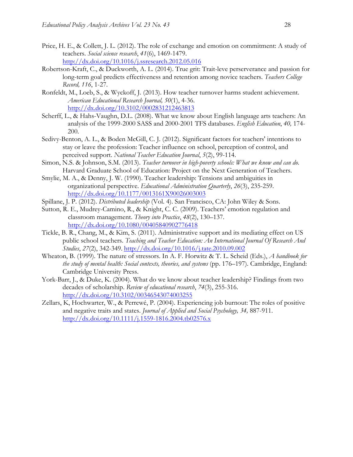- Price, H. E., & Collett, J. L. (2012). The role of exchange and emotion on commitment: A study of teachers. *Social science research*, *41*(6), 1469-1479. http://dx.doi.org/10.1016/j.ssresearch.2012.05.016
- Robertson-Kraft, C., & Duckworth, A. L. (2014). True grit: Trait-leve perserverance and passion for long-term goal predicts effectiveness and retention among novice teachers. *Teachers College Record, 116*, 1-27.
- Ronfeldt, M., Loeb, S., & Wyckoff, J. (2013). How teacher turnover harms student achievement. *American Educational Research Journal, 50*(1), 4-36. http://dx.doi.org/10.3102/0002831212463813
- Scherff, L., & Hahs-Vaughn, D.L. (2008). What we know about English language arts teachers: An analysis of the 1999-2000 SASS and 2000-2001 TFS databases. *English Education*, *40,* 174- 200.
- Sedivy-Benton, A. L., & Boden McGill, C. J. (2012). Significant factors for teachers' intentions to stay or leave the profession: Teacher influence on school, perception of control, and perceived support. *National Teacher Education Journal*, *5*(2), 99-114.
- Simon, N.S. & Johnson, S.M. (2013). *Teacher turnover in high-poverty schools: What we know and can do*. Harvard Graduate School of Education: Project on the Next Generation of Teachers.
- Smylie, M. A., & Denny, J. W. (1990). Teacher leadership: Tensions and ambiguities in organizational perspective. *Educational Administration Quarterly*, *26*(3), 235-259. http://dx.doi.org/10.1177/0013161X90026003003
- Spillane, J. P. (2012). *Distributed leadership* (Vol. 4). San Francisco, CA: John Wiley & Sons.
- Sutton, R. E., Mudrey-Camino, R., & Knight, C. C. (2009). Teachers' emotion regulation and classroom management. *Theory into Practice*, *48*(2), 130–137. http://dx.doi.org/10.1080/00405840902776418
- Tickle, B. R., Chang, M., & Kim, S. (2011). Administrative support and its mediating effect on US public school teachers. *Teaching and Teacher Education: An International Journal Of Research And Studies*, *27*(2), 342-349. http://dx.doi.org/10.1016/j.tate.2010.09.002
- Wheaton, B. (1999). The nature of stressors. In A. F. Horwitz & T. L. Scheid (Eds.), *A handbook for the study of mental health: Social contexts, theories, and systems* (pp. 176–197). Cambridge, England: Cambridge University Press.
- York-Barr, J., & Duke, K. (2004). What do we know about teacher leadership? Findings from two decades of scholarship. *Review of educational research*, *74*(3), 255-316. http://dx.doi.org/10.3102/00346543074003255
- Zellars, K, Hochwarter, W., & Perrewé, P. (2004). Experiencing job burnout: The roles of positive and negative traits and states. *Journal of Applied and Social Psychology, 34,* 887-911. http://dx.doi.org/10.1111/j.1559-1816.2004.tb02576.x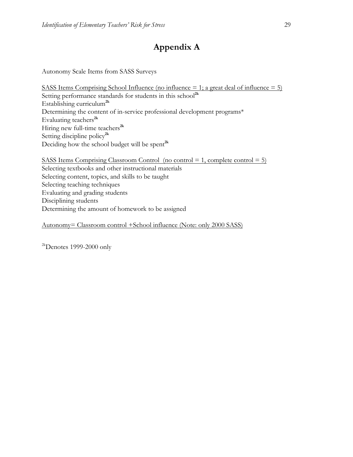# **Appendix A**

Autonomy Scale Items from SASS Surveys

SASS Items Comprising School Influence (no influence  $= 1$ ; a great deal of influence  $= 5$ ) Setting performance standards for students in this school<sup>2k</sup> Establishing curriculum**2k** Determining the content of in-service professional development programs\* Evaluating teachers**2k** Hiring new full-time teachers**2k** Setting discipline policy**2k** Deciding how the school budget will be spent**2k**

SASS Items Comprising Classroom Control (no control = 1, complete control = 5) Selecting textbooks and other instructional materials Selecting content, topics, and skills to be taught Selecting teaching techniques Evaluating and grading students Disciplining students Determining the amount of homework to be assigned

Autonomy= Classroom control +School influence (Note: only 2000 SASS)

 $2k$ Denotes 1999-2000 only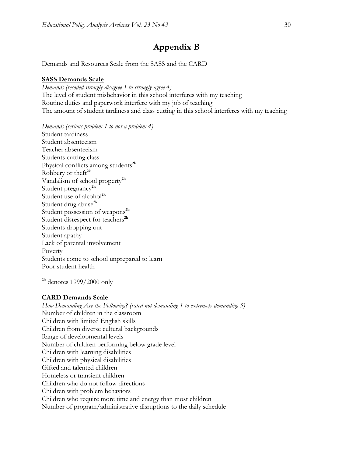## **Appendix B**

Demands and Resources Scale from the SASS and the CARD

### **SASS Demands Scale**

*Demands (recoded strongly disagree 1 to strongly agree 4)* The level of student misbehavior in this school interferes with my teaching Routine duties and paperwork interfere with my job of teaching The amount of student tardiness and class cutting in this school interferes with my teaching

*Demands (serious problem 1 to not a problem 4)* Student tardiness Student absenteeism Teacher absenteeism Students cutting class Physical conflicts among students**2k** Robbery or theft**2k** Vandalism of school property**2k** Student pregnancy**2k** Student use of alcohol**2k** Student drug abuse**2k** Student possession of weapons**2k** Student disrespect for teachers<sup>2k</sup> Students dropping out Student apathy Lack of parental involvement Poverty Students come to school unprepared to learn Poor student health

**2k** denotes 1999/2000 only

#### **CARD Demands Scale**

*How Demanding Are the Following? (rated not demanding 1 to extremely demanding 5)* Number of children in the classroom Children with limited English skills Children from diverse cultural backgrounds Range of developmental levels Number of children performing below grade level Children with learning disabilities Children with physical disabilities Gifted and talented children Homeless or transient children Children who do not follow directions Children with problem behaviors Children who require more time and energy than most children Number of program/administrative disruptions to the daily schedule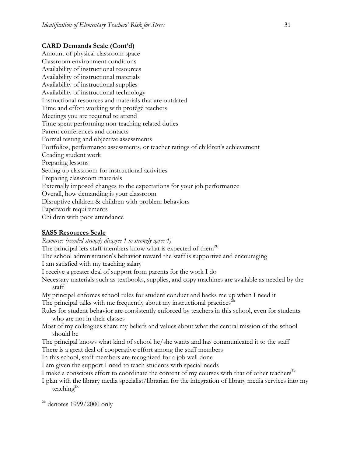### **CARD Demands Scale (Cont'd)**

Amount of physical classroom space Classroom environment conditions Availability of instructional resources Availability of instructional materials Availability of instructional supplies Availability of instructional technology Instructional resources and materials that are outdated Time and effort working with protégé teachers Meetings you are required to attend Time spent performing non-teaching related duties Parent conferences and contacts Formal testing and objective assessments Portfolios, performance assessments, or teacher ratings of children's achievement Grading student work Preparing lessons Setting up classroom for instructional activities Preparing classroom materials Externally imposed changes to the expectations for your job performance Overall, how demanding is your classroom Disruptive children & children with problem behaviors Paperwork requirements Children with poor attendance

### **SASS Resources Scale**

*Resources (recoded strongly disagree 1 to strongly agree 4)*

The principal lets staff members know what is expected of them**2k**

The school administration's behavior toward the staff is supportive and encouraging

I am satisfied with my teaching salary

I receive a greater deal of support from parents for the work I do

Necessary materials such as textbooks, supplies, and copy machines are available as needed by the staff

My principal enforces school rules for student conduct and backs me up when I need it The principal talks with me frequently about my instructional practices<sup> $2k$ </sup>

Rules for student behavior are consistently enforced by teachers in this school, even for students who are not in their classes

Most of my colleagues share my beliefs and values about what the central mission of the school should be

The principal knows what kind of school he/she wants and has communicated it to the staff There is a great deal of cooperative effort among the staff members

In this school, staff members are recognized for a job well done

I am given the support I need to teach students with special needs

I make a conscious effort to coordinate the content of my courses with that of other teachers**2k**

I plan with the library media specialist/librarian for the integration of library media services into my teaching**2k**

**2k** denotes 1999/2000 only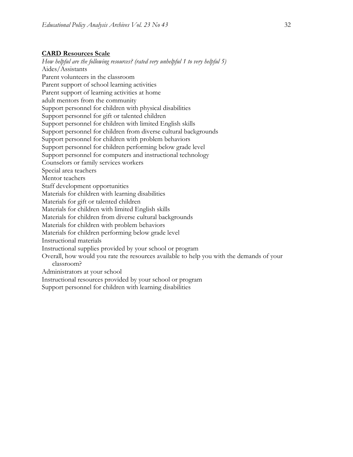### **CARD Resources Scale**

*How helpful are the following resources? (rated very unhelpful 1 to very helpful 5)* Aides/Assistants Parent volunteers in the classroom Parent support of school learning activities Parent support of learning activities at home adult mentors from the community Support personnel for children with physical disabilities Support personnel for gift or talented children Support personnel for children with limited English skills Support personnel for children from diverse cultural backgrounds Support personnel for children with problem behaviors Support personnel for children performing below grade level Support personnel for computers and instructional technology Counselors or family services workers Special area teachers Mentor teachers Staff development opportunities Materials for children with learning disabilities Materials for gift or talented children Materials for children with limited English skills Materials for children from diverse cultural backgrounds Materials for children with problem behaviors Materials for children performing below grade level Instructional materials Instructional supplies provided by your school or program Overall, how would you rate the resources available to help you with the demands of your classroom? Administrators at your school Instructional resources provided by your school or program Support personnel for children with learning disabilities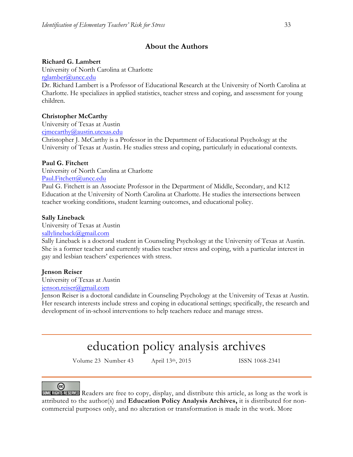### **About the Authors**

### **Richard G. Lambert**

University of North Carolina at Charlotte rglamber@uncc.edu

Dr. Richard Lambert is a Professor of Educational Research at the University of North Carolina at Charlotte. He specializes in applied statistics, teacher stress and coping, and assessment for young children.

### **Christopher McCarthy**

University of Texas at Austin cjmccarthy@austin.utexas.edu

Christopher J. McCarthy is a Professor in the Department of Educational Psychology at the University of Texas at Austin. He studies stress and coping, particularly in educational contexts.

### **Paul G. Fitchett**

University of North Carolina at Charlotte Paul.Fitchett@uncc.edu

Paul G. Fitchett is an Associate Professor in the Department of Middle, Secondary, and K12 Education at the University of North Carolina at Charlotte. He studies the intersections between teacher working conditions, student learning outcomes, and educational policy.

### **Sally Lineback**

University of Texas at Austin sallylineback@gmail.com

Sally Lineback is a doctoral student in Counseling Psychology at the University of Texas at Austin. She is a former teacher and currently studies teacher stress and coping, with a particular interest in gay and lesbian teachers' experiences with stress.

### **Jenson Reiser**

University of Texas at Austin jenson.reiser@gmail.com

Jenson Reiser is a doctoral candidate in Counseling Psychology at the University of Texas at Austin. Her research interests include stress and coping in educational settings; specifically, the research and development of in-school interventions to help teachers reduce and manage stress.

# education policy analysis archives

Volume 23 Number 43 April 13th, 2015 ISSN 1068-2341

ල)

SOME RIGHTS RESERVED Readers are free to copy, display, and distribute this article, as long as the work is attributed to the author(s) and **Education Policy Analysis Archives,** it is distributed for noncommercial purposes only, and no alteration or transformation is made in the work. More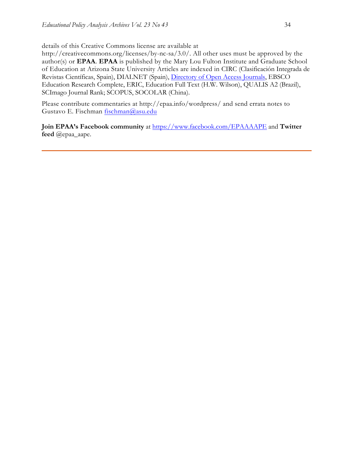details of this Creative Commons license are available at

http://creativecommons.org/licenses/by-nc-sa/3.0/. All other uses must be approved by the author(s) or **EPAA**. **EPAA** is published by the Mary Lou Fulton Institute and Graduate School of Education at Arizona State University Articles are indexed in CIRC (Clasificación Integrada de Revistas Científicas, Spain), DIALNET (Spain), Directory of Open Access Journals, EBSCO Education Research Complete, ERIC, Education Full Text (H.W. Wilson), QUALIS A2 (Brazil), SCImago Journal Rank; SCOPUS, SOCOLAR (China).

Please contribute commentaries at http://epaa.info/wordpress/ and send errata notes to Gustavo E. Fischman fischman@asu.edu

**Join EPAA's Facebook community** at https://www.facebook.com/EPAAAAPE and **Twitter feed** @epaa\_aape.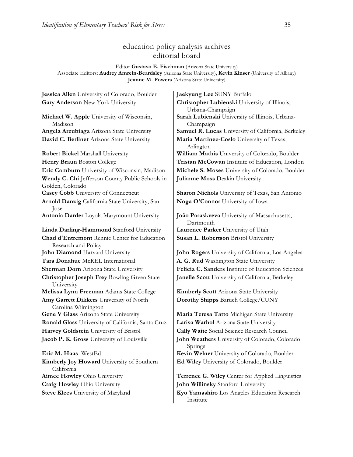### education policy analysis archives editorial board

Editor **Gustavo E. Fischman** (Arizona State University) Associate Editors: **Audrey Amrein-Beardsley** (Arizona State University), **Kevin Kinser** (University of Albany) **Jeanne M. Powers** (Arizona State University)

**Jessica Allen** University of Colorado, Boulder **Jaekyung Lee** SUNY Buffalo **Gary Anderson** New York University **Christopher Lubienski** University of Illinois,

**Michael W. Apple** University of Wisconsin, Madison **David C. Berliner** Arizona State University **Maria Martinez-Coslo** University of Texas,

**Wendy C. Chi** Jefferson County Public Schools in Golden, Colorado **Arnold Danzig** California State University, San Jose

**Linda Darling-Hammond** Stanford University **Laurence Parker** University of Utah **Chad d'Entremont** Rennie Center for Education Research and Policy **Tara Donahue** McREL International **A. G. Rud** Washington State University **Christopher Joseph Frey** Bowling Green State University **Melissa Lynn Freeman** Adams State College **Kimberly Scott** Arizona State University **Amy Garrett Dikkers** University of North Carolina Wilmington **Gene V Glass** Arizona State University **Maria Teresa Tatto** Michigan State University **Ronald Glass** University of California, Santa Cruz | Larisa Warhol Arizona State University **Harvey Goldstein** University of Bristol **Cally Waite** Social Science Research Council **Jacob P. K. Gross** University of Louisville **John Weathers** University of Colorado, Colorado

**Kimberly Joy Howard** University of Southern California **Craig Howley** Ohio University **John Willinsky** Stanford University

Urbana-Champaign **Sarah Lubienski** University of Illinois, Urbana-Champaign **Angela Arzubiaga** Arizona State University **Samuel R. Lucas** University of California, Berkeley Arlington **Robert Bickel** Marshall University **William Mathis** University of Colorado, Boulder **Henry Braun** Boston College **Tristan McCowan** Institute of Education, London **Eric Camburn** University of Wisconsin, Madison **Michele S. Moses** University of Colorado, Boulder **Julianne Moss** Deakin University

**Casey Cobb** University of Connecticut **Sharon Nichols** University of Texas, San Antonio **Noga O'Connor** University of Iowa

**Antonia Darder** Loyola Marymount University **João Paraskveva** University of Massachusetts, Dartmouth **Susan L. Robertson** Bristol University

**John Diamond** Harvard University **John Rogers** University of California, Los Angeles **Sherman Dorn** Arizona State University **Felicia C. Sanders** Institute of Education Sciences **Janelle Scott** University of California, Berkeley

**Dorothy Shipps** Baruch College/CUNY

Springs **Eric M. Haas** WestEd **Kevin Welner** University of Colorado, Boulder **Ed Wiley** University of Colorado, Boulder

**Aimee Howley** Ohio University **Terrence G. Wiley** Center for Applied Linguistics

**Steve Klees** University of Maryland **Kyo Yamashiro** Los Angeles Education Research Institute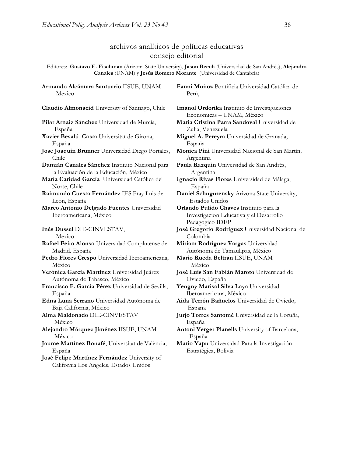### archivos analíticos de políticas educativas consejo editorial

Editores: **Gustavo E. Fischman** (Arizona State University), **Jason Beech** (Universidad de San Andrés), **Alejandro Canales** (UNAM) y **Jesús Romero Morante** (Universidad de Cantabria)

**Armando Alcántara Santuario** IISUE, UNAM México

**Pilar Arnaiz Sánchez** Universidad de Murcia, España

- **Xavier Besalú Costa** Universitat de Girona, España
- **Jose Joaquin Brunner** Universidad Diego Portales, Chile

**Damián Canales Sánchez** Instituto Nacional para la Evaluación de la Educación, México

**María Caridad García** Universidad Católica del Norte, Chile

**Raimundo Cuesta Fernández** IES Fray Luis de León, España

**Marco Antonio Delgado Fuentes** Universidad Iberoamericana, México

**Inés Dussel** DIE**-**CINVESTAV, Mexico

**Rafael Feito Alonso** Universidad Complutense de Madrid. España

- **Pedro Flores Crespo** Universidad Iberoamericana, México
- **Verónica García Martínez** Universidad Juárez Autónoma de Tabasco, México
- **Francisco F. García Pérez** Universidad de Sevilla, España

**Edna Luna Serrano** Universidad Autónoma de Baja California, México

**Alma Maldonado** DIE-CINVESTAV México

**Alejandro Márquez Jiménez** IISUE, UNAM México

**Jaume Martínez Bonafé**, Universitat de València, España

**José Felipe Martínez Fernández** University of California Los Angeles, Estados Unidos

**Fanni Muñoz** Pontificia Universidad Católica de Perú,

**Claudio Almonacid** University of Santiago, Chile **Imanol Ordorika** Instituto de Investigaciones Economicas – UNAM, México

- **Maria Cristina Parra Sandoval** Universidad de Zulia, Venezuela
- **Miguel A. Pereyra** Universidad de Granada, España
- **Monica Pini** Universidad Nacional de San Martín, Argentina

**Paula Razquin** Universidad de San Andrés, Argentina

**Ignacio Rivas Flores** Universidad de Málaga, España

**Daniel Schugurensky** Arizona State University, Estados Unidos

**Orlando Pulido Chaves** Instituto para la Investigacion Educativa y el Desarrollo Pedagogico IDEP

**José Gregorio Rodríguez** Universidad Nacional de Colombia

**Miriam Rodríguez Vargas** Universidad Autónoma de Tamaulipas, México

- **Mario Rueda Beltrán** IISUE, UNAM México
- **José Luis San Fabián Maroto** Universidad de Oviedo, España
- **Yengny Marisol Silva Laya** Universidad Iberoamericana, México
- **Aida Terrón Bañuelos** Universidad de Oviedo, España

**Jurjo Torres Santomé** Universidad de la Coruña, España

**Antoni Verger Planells** University of Barcelona, España

**Mario Yapu** Universidad Para la Investigación Estratégica, Bolivia